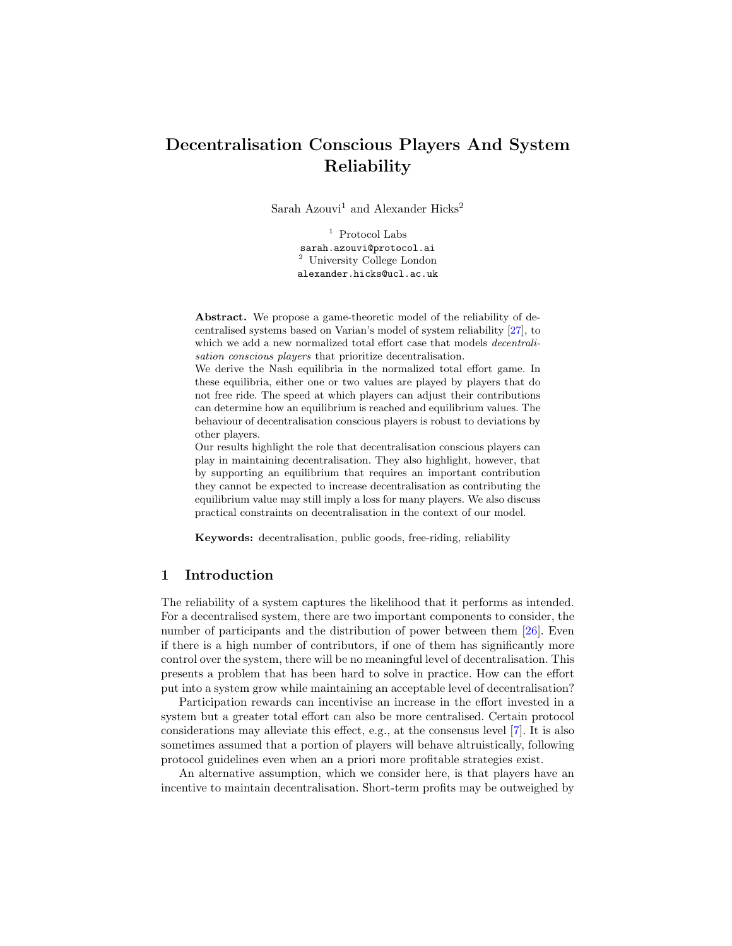# Decentralisation Conscious Players And System Reliability

Sarah Azouvi<sup>1</sup> and Alexander Hicks<sup>2</sup>

<sup>1</sup> Protocol Labs sarah.azouvi@protocol.ai <sup>2</sup> University College London alexander.hicks@ucl.ac.uk

Abstract. We propose a game-theoretic model of the reliability of decentralised systems based on Varian's model of system reliability [\[27\]](#page-16-0), to which we add a new normalized total effort case that models *decentrali*sation conscious players that prioritize decentralisation.

We derive the Nash equilibria in the normalized total effort game. In these equilibria, either one or two values are played by players that do not free ride. The speed at which players can adjust their contributions can determine how an equilibrium is reached and equilibrium values. The behaviour of decentralisation conscious players is robust to deviations by other players.

Our results highlight the role that decentralisation conscious players can play in maintaining decentralisation. They also highlight, however, that by supporting an equilibrium that requires an important contribution they cannot be expected to increase decentralisation as contributing the equilibrium value may still imply a loss for many players. We also discuss practical constraints on decentralisation in the context of our model.

Keywords: decentralisation, public goods, free-riding, reliability

# 1 Introduction

The reliability of a system captures the likelihood that it performs as intended. For a decentralised system, there are two important components to consider, the number of participants and the distribution of power between them [\[26\]](#page-16-1). Even if there is a high number of contributors, if one of them has significantly more control over the system, there will be no meaningful level of decentralisation. This presents a problem that has been hard to solve in practice. How can the effort put into a system grow while maintaining an acceptable level of decentralisation?

Participation rewards can incentivise an increase in the effort invested in a system but a greater total effort can also be more centralised. Certain protocol considerations may alleviate this effect, e.g., at the consensus level [\[7\]](#page-15-0). It is also sometimes assumed that a portion of players will behave altruistically, following protocol guidelines even when an a priori more profitable strategies exist.

An alternative assumption, which we consider here, is that players have an incentive to maintain decentralisation. Short-term profits may be outweighed by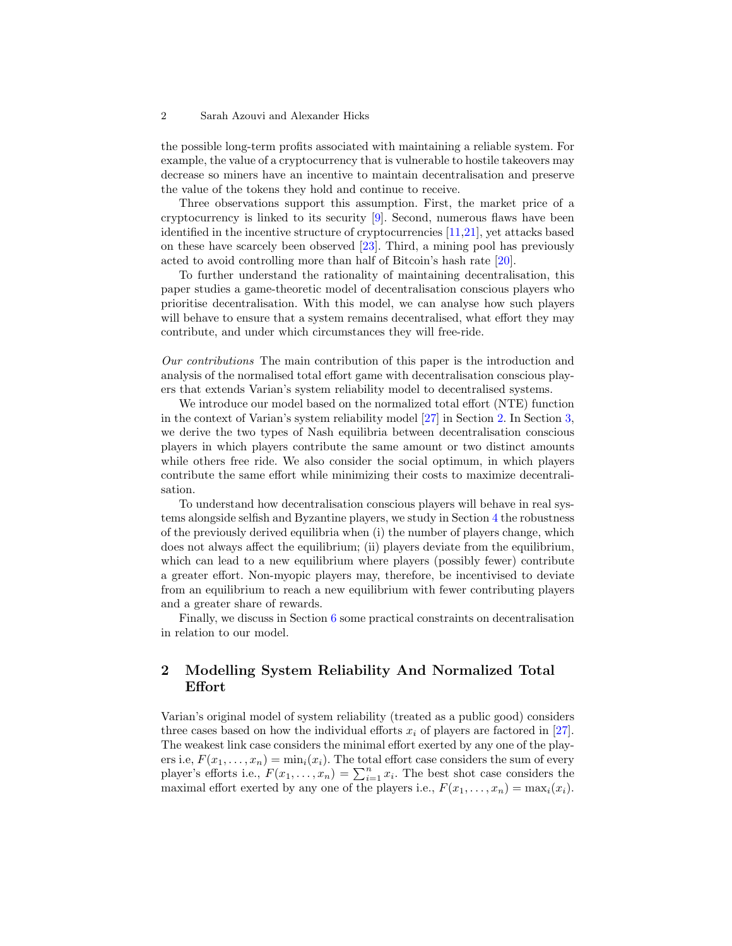the possible long-term profits associated with maintaining a reliable system. For example, the value of a cryptocurrency that is vulnerable to hostile takeovers may decrease so miners have an incentive to maintain decentralisation and preserve the value of the tokens they hold and continue to receive.

Three observations support this assumption. First, the market price of a cryptocurrency is linked to its security [\[9\]](#page-15-1). Second, numerous flaws have been identified in the incentive structure of cryptocurrencies [\[11,](#page-15-2)[21\]](#page-16-2), yet attacks based on these have scarcely been observed [\[23\]](#page-16-3). Third, a mining pool has previously acted to avoid controlling more than half of Bitcoin's hash rate [\[20\]](#page-16-4).

To further understand the rationality of maintaining decentralisation, this paper studies a game-theoretic model of decentralisation conscious players who prioritise decentralisation. With this model, we can analyse how such players will behave to ensure that a system remains decentralised, what effort they may contribute, and under which circumstances they will free-ride.

Our contributions The main contribution of this paper is the introduction and analysis of the normalised total effort game with decentralisation conscious players that extends Varian's system reliability model to decentralised systems.

We introduce our model based on the normalized total effort (NTE) function in the context of Varian's system reliability model [\[27\]](#page-16-0) in Section [2.](#page-1-0) In Section [3,](#page-3-0) we derive the two types of Nash equilibria between decentralisation conscious players in which players contribute the same amount or two distinct amounts while others free ride. We also consider the social optimum, in which players contribute the same effort while minimizing their costs to maximize decentralisation.

To understand how decentralisation conscious players will behave in real systems alongside selfish and Byzantine players, we study in Section [4](#page-6-0) the robustness of the previously derived equilibria when (i) the number of players change, which does not always affect the equilibrium; (ii) players deviate from the equilibrium, which can lead to a new equilibrium where players (possibly fewer) contribute a greater effort. Non-myopic players may, therefore, be incentivised to deviate from an equilibrium to reach a new equilibrium with fewer contributing players and a greater share of rewards.

Finally, we discuss in Section [6](#page-12-0) some practical constraints on decentralisation in relation to our model.

# <span id="page-1-0"></span>2 Modelling System Reliability And Normalized Total Effort

Varian's original model of system reliability (treated as a public good) considers three cases based on how the individual efforts  $x_i$  of players are factored in [\[27\]](#page-16-0). The weakest link case considers the minimal effort exerted by any one of the players i.e,  $F(x_1, \ldots, x_n) = \min_i(x_i)$ . The total effort case considers the sum of every player's efforts i.e.,  $F(x_1, \ldots, x_n) = \sum_{i=1}^n x_i$ . The best shot case considers the maximal effort exerted by any one of the players i.e.,  $F(x_1, \ldots, x_n) = \max_i (x_i)$ .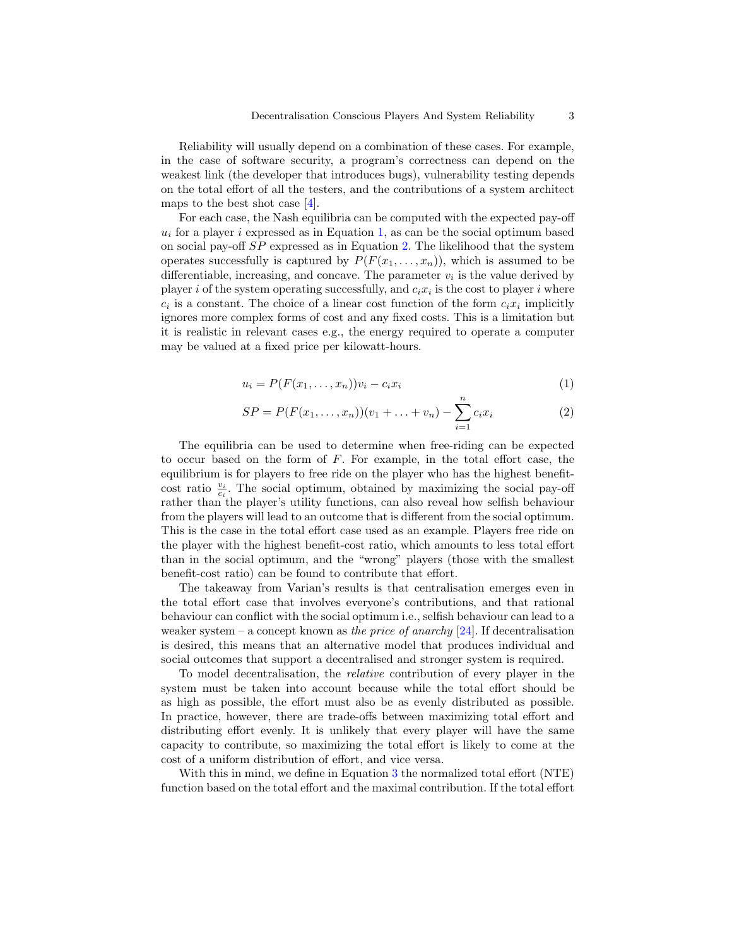Reliability will usually depend on a combination of these cases. For example, in the case of software security, a program's correctness can depend on the weakest link (the developer that introduces bugs), vulnerability testing depends on the total effort of all the testers, and the contributions of a system architect maps to the best shot case [\[4\]](#page-15-3).

For each case, the Nash equilibria can be computed with the expected pay-off  $u_i$  for a player i expressed as in Equation [1,](#page-2-0) as can be the social optimum based on social pay-off SP expressed as in Equation [2.](#page-2-1) The likelihood that the system operates successfully is captured by  $P(F(x_1, \ldots, x_n))$ , which is assumed to be differentiable, increasing, and concave. The parameter  $v_i$  is the value derived by player i of the system operating successfully, and  $c_i x_i$  is the cost to player i where  $c_i$  is a constant. The choice of a linear cost function of the form  $c_i x_i$  implicitly ignores more complex forms of cost and any fixed costs. This is a limitation but it is realistic in relevant cases e.g., the energy required to operate a computer may be valued at a fixed price per kilowatt-hours.

<span id="page-2-1"></span><span id="page-2-0"></span>
$$
u_i = P(F(x_1, \ldots, x_n))v_i - c_i x_i \tag{1}
$$

$$
SP = P(F(x_1, ..., x_n))(v_1 + ... + v_n) - \sum_{i=1}^{n} c_i x_i
$$
 (2)

The equilibria can be used to determine when free-riding can be expected to occur based on the form of  $F$ . For example, in the total effort case, the equilibrium is for players to free ride on the player who has the highest benefitcost ratio  $\frac{v_i}{c_i}$ . The social optimum, obtained by maximizing the social pay-off rather than the player's utility functions, can also reveal how selfish behaviour from the players will lead to an outcome that is different from the social optimum. This is the case in the total effort case used as an example. Players free ride on the player with the highest benefit-cost ratio, which amounts to less total effort than in the social optimum, and the "wrong" players (those with the smallest benefit-cost ratio) can be found to contribute that effort.

The takeaway from Varian's results is that centralisation emerges even in the total effort case that involves everyone's contributions, and that rational behaviour can conflict with the social optimum i.e., selfish behaviour can lead to a weaker system – a concept known as the price of anarchy [\[24\]](#page-16-5). If decentralisation is desired, this means that an alternative model that produces individual and social outcomes that support a decentralised and stronger system is required.

To model decentralisation, the relative contribution of every player in the system must be taken into account because while the total effort should be as high as possible, the effort must also be as evenly distributed as possible. In practice, however, there are trade-offs between maximizing total effort and distributing effort evenly. It is unlikely that every player will have the same capacity to contribute, so maximizing the total effort is likely to come at the cost of a uniform distribution of effort, and vice versa.

With this in mind, we define in Equation [3](#page-3-1) the normalized total effort (NTE) function based on the total effort and the maximal contribution. If the total effort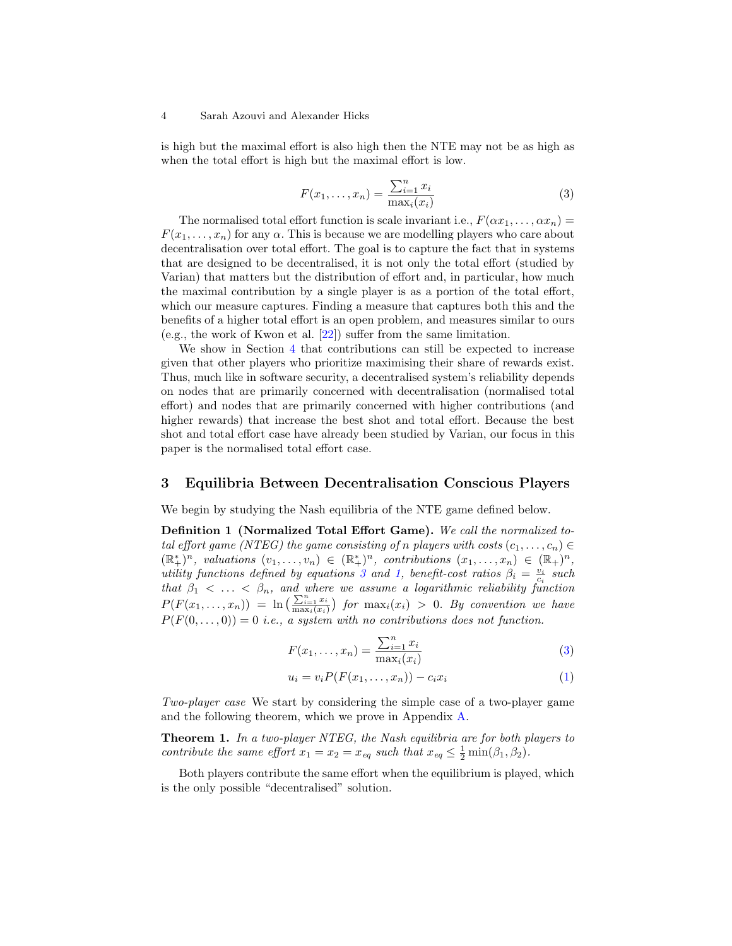is high but the maximal effort is also high then the NTE may not be as high as when the total effort is high but the maximal effort is low.

<span id="page-3-1"></span>
$$
F(x_1, ..., x_n) = \frac{\sum_{i=1}^n x_i}{\max_i(x_i)}
$$
(3)

The normalised total effort function is scale invariant i.e.,  $F(\alpha x_1, \ldots, \alpha x_n) =$  $F(x_1, \ldots, x_n)$  for any  $\alpha$ . This is because we are modelling players who care about decentralisation over total effort. The goal is to capture the fact that in systems that are designed to be decentralised, it is not only the total effort (studied by Varian) that matters but the distribution of effort and, in particular, how much the maximal contribution by a single player is as a portion of the total effort, which our measure captures. Finding a measure that captures both this and the benefits of a higher total effort is an open problem, and measures similar to ours (e.g., the work of Kwon et al. [\[22\]](#page-16-6)) suffer from the same limitation.

We show in Section [4](#page-6-0) that contributions can still be expected to increase given that other players who prioritize maximising their share of rewards exist. Thus, much like in software security, a decentralised system's reliability depends on nodes that are primarily concerned with decentralisation (normalised total effort) and nodes that are primarily concerned with higher contributions (and higher rewards) that increase the best shot and total effort. Because the best shot and total effort case have already been studied by Varian, our focus in this paper is the normalised total effort case.

# <span id="page-3-0"></span>3 Equilibria Between Decentralisation Conscious Players

We begin by studying the Nash equilibria of the NTE game defined below.

<span id="page-3-3"></span>Definition 1 (Normalized Total Effort Game). We call the normalized total effort game (NTEG) the game consisting of n players with costs  $(c_1, \ldots, c_n) \in$  $(\mathbb{R}^*_+)^n$ , valuations  $(v_1,\ldots,v_n) \in (\mathbb{R}^*_+)^n$ , contributions  $(x_1,\ldots,x_n) \in (\mathbb{R}_+)^n$ , utility functions defined by equations [3](#page-3-1) and [1,](#page-2-0) benefit-cost ratios  $\beta_i = \frac{v_i}{c_i}$  such that  $\beta_1 < \ldots < \beta_n$ , and where we assume a logarithmic reliability function  $P(F(x_1,...,x_n)) = \ln \left( \frac{\sum_{i=1}^n x_i}{\max_i(x_i)} \right)$  for  $\max_i(x_i) > 0$ . By convention we have  $P(F(0, \ldots, 0)) = 0$  i.e., a system with no contributions does not function.

$$
F(x_1, ..., x_n) = \frac{\sum_{i=1}^{n} x_i}{\max_i(x_i)}
$$
(3)

$$
u_i = v_i P(F(x_1, \dots, x_n)) - c_i x_i \tag{1}
$$

Two-player case We start by considering the simple case of a two-player game and the following theorem, which we prove in Appendix [A.](#page-17-0)

<span id="page-3-2"></span>Theorem 1. In a two-player NTEG, the Nash equilibria are for both players to contribute the same effort  $x_1 = x_2 = x_{eq}$  such that  $x_{eq} \leq \frac{1}{2} \min(\beta_1, \beta_2)$ .

Both players contribute the same effort when the equilibrium is played, which is the only possible "decentralised" solution.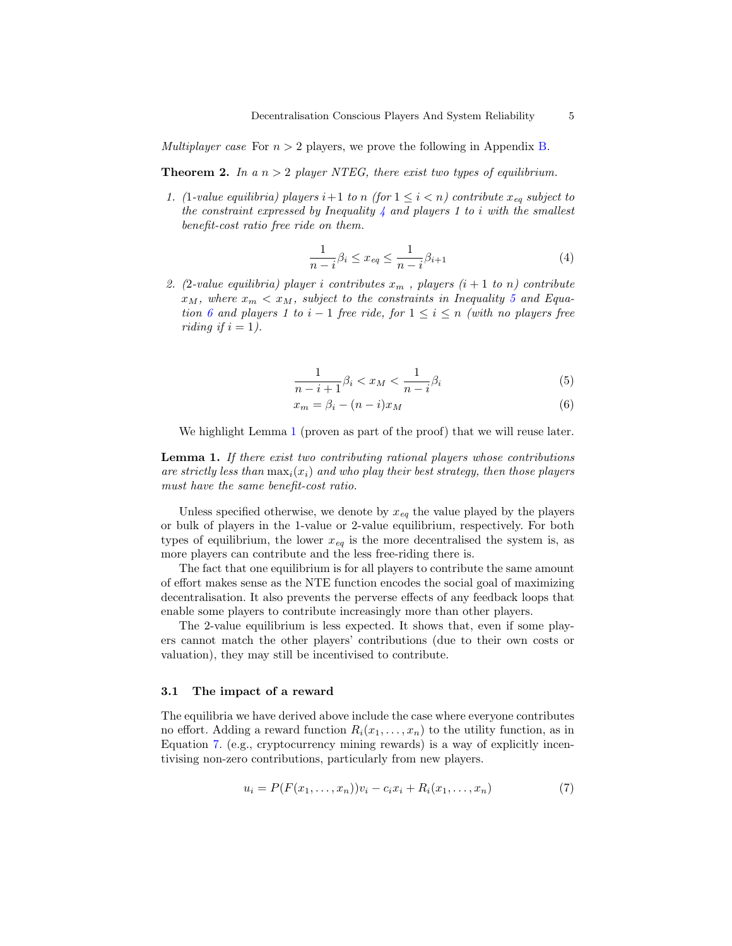<span id="page-4-5"></span>Multiplayer case For  $n > 2$  players, we prove the following in Appendix [B.](#page-17-1)

**Theorem 2.** In a  $n > 2$  player NTEG, there exist two types of equilibrium.

1. (1-value equilibria) players  $i+1$  to n (for  $1 \leq i < n$ ) contribute  $x_{eq}$  subject to the constraint expressed by Inequality  $\frac{1}{4}$  $\frac{1}{4}$  $\frac{1}{4}$  and players 1 to i with the smallest benefit-cost ratio free ride on them.

<span id="page-4-0"></span>
$$
\frac{1}{n-i}\beta_i \le x_{eq} \le \frac{1}{n-i}\beta_{i+1} \tag{4}
$$

2. (2-value equilibria) player i contributes  $x_m$ , players  $(i + 1 \text{ to } n)$  contribute  $x_M$ , where  $x_m < x_M$ , subject to the constraints in Inequality [5](#page-4-1) and Equa-tion [6](#page-4-2) and players 1 to  $i - 1$  free ride, for  $1 \leq i \leq n$  (with no players free riding if  $i = 1$ ).

<span id="page-4-1"></span>
$$
\frac{1}{n-i+1}\beta_i < x_M < \frac{1}{n-i}\beta_i \tag{5}
$$

<span id="page-4-2"></span>
$$
x_m = \beta_i - (n-i)x_M \tag{6}
$$

We highlight Lemma [1](#page-4-3) (proven as part of the proof) that we will reuse later.

<span id="page-4-3"></span>**Lemma 1.** If there exist two contributing rational players whose contributions are strictly less than  $\max_i(x_i)$  and who play their best strategy, then those players must have the same benefit-cost ratio.

Unless specified otherwise, we denote by  $x_{eq}$  the value played by the players or bulk of players in the 1-value or 2-value equilibrium, respectively. For both types of equilibrium, the lower  $x_{eq}$  is the more decentralised the system is, as more players can contribute and the less free-riding there is.

The fact that one equilibrium is for all players to contribute the same amount of effort makes sense as the NTE function encodes the social goal of maximizing decentralisation. It also prevents the perverse effects of any feedback loops that enable some players to contribute increasingly more than other players.

The 2-value equilibrium is less expected. It shows that, even if some players cannot match the other players' contributions (due to their own costs or valuation), they may still be incentivised to contribute.

#### 3.1 The impact of a reward

The equilibria we have derived above include the case where everyone contributes no effort. Adding a reward function  $R_i(x_1, \ldots, x_n)$  to the utility function, as in Equation [7.](#page-4-4) (e.g., cryptocurrency mining rewards) is a way of explicitly incentivising non-zero contributions, particularly from new players.

<span id="page-4-4"></span>
$$
u_i = P(F(x_1, ..., x_n))v_i - c_ix_i + R_i(x_1, ..., x_n)
$$
\n(7)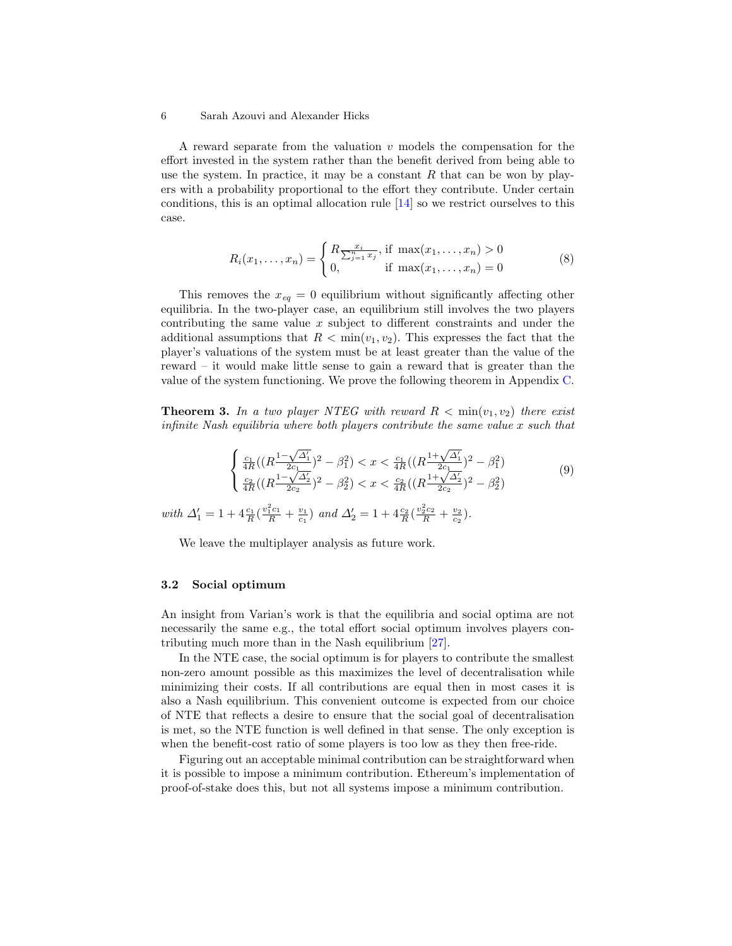A reward separate from the valuation v models the compensation for the effort invested in the system rather than the benefit derived from being able to use the system. In practice, it may be a constant  $R$  that can be won by players with a probability proportional to the effort they contribute. Under certain conditions, this is an optimal allocation rule [\[14\]](#page-16-7) so we restrict ourselves to this case.

$$
R_i(x_1,...,x_n) = \begin{cases} R \frac{x_i}{\sum_{j=1}^n x_j}, & \text{if } \max(x_1,...,x_n) > 0\\ 0, & \text{if } \max(x_1,...,x_n) = 0 \end{cases}
$$
 (8)

This removes the  $x_{eq} = 0$  equilibrium without significantly affecting other equilibria. In the two-player case, an equilibrium still involves the two players contributing the same value  $x$  subject to different constraints and under the additional assumptions that  $R < \min(v_1, v_2)$ . This expresses the fact that the player's valuations of the system must be at least greater than the value of the reward – it would make little sense to gain a reward that is greater than the value of the system functioning. We prove the following theorem in Appendix [C.](#page-19-0)

<span id="page-5-0"></span>**Theorem 3.** In a two player NTEG with reward  $R < min(v_1, v_2)$  there exist infinite Nash equilibria where both players contribute the same value x such that

$$
\begin{cases}\n\frac{c_1}{4R}((R\frac{1-\sqrt{\Delta'_1}}{2c_1})^2 - \beta_1^2) < x < \frac{c_1}{4R}((R\frac{1+\sqrt{\Delta'_1}}{2c_1})^2 - \beta_1^2) \\
\frac{c_2}{4R}((R\frac{1-\sqrt{\Delta'_2}}{2c_2})^2 - \beta_2^2) < x < \frac{c_2}{4R}((R\frac{1+\sqrt{\Delta'_2}}{2c_2})^2 - \beta_2^2) \\
\Delta'_1 = 1 + 4\frac{c_1}{R}(\frac{v_1^2c_1}{R} + \frac{v_1}{c_1}) \text{ and } \Delta'_2 = 1 + 4\frac{c_2}{R}(\frac{v_2^2c_2}{R} + \frac{v_2}{c_2}).\n\end{cases}\n\tag{9}
$$

We leave the multiplayer analysis as future work.

#### 3.2 Social optimum

 $with$ 

An insight from Varian's work is that the equilibria and social optima are not necessarily the same e.g., the total effort social optimum involves players contributing much more than in the Nash equilibrium [\[27\]](#page-16-0).

In the NTE case, the social optimum is for players to contribute the smallest non-zero amount possible as this maximizes the level of decentralisation while minimizing their costs. If all contributions are equal then in most cases it is also a Nash equilibrium. This convenient outcome is expected from our choice of NTE that reflects a desire to ensure that the social goal of decentralisation is met, so the NTE function is well defined in that sense. The only exception is when the benefit-cost ratio of some players is too low as they then free-ride.

Figuring out an acceptable minimal contribution can be straightforward when it is possible to impose a minimum contribution. Ethereum's implementation of proof-of-stake does this, but not all systems impose a minimum contribution.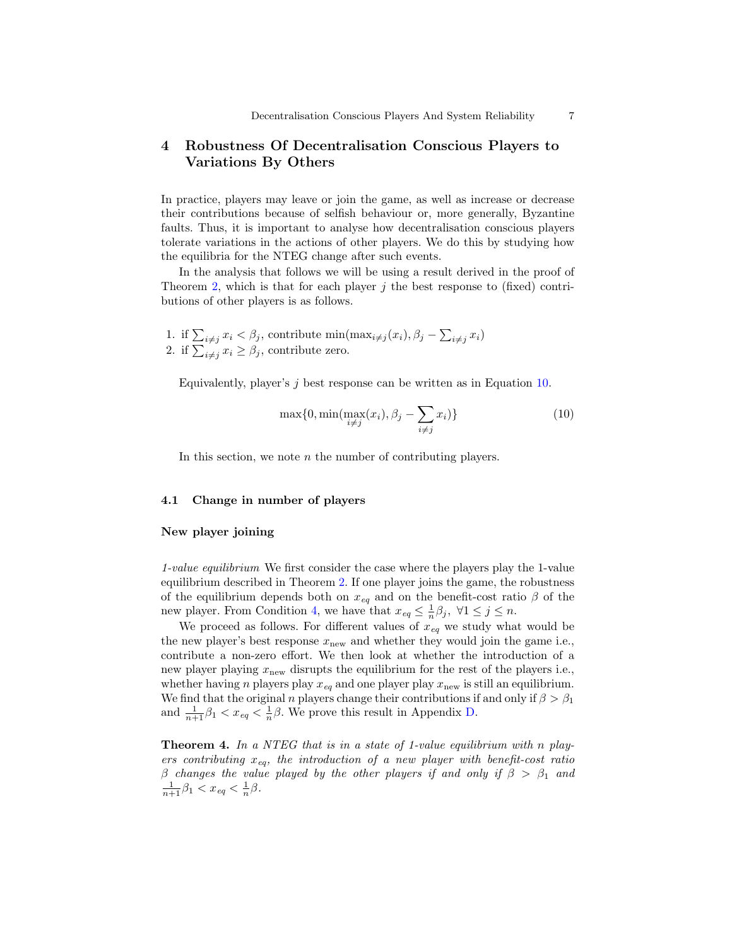# <span id="page-6-0"></span>4 Robustness Of Decentralisation Conscious Players to Variations By Others

In practice, players may leave or join the game, as well as increase or decrease their contributions because of selfish behaviour or, more generally, Byzantine faults. Thus, it is important to analyse how decentralisation conscious players tolerate variations in the actions of other players. We do this by studying how the equilibria for the NTEG change after such events.

In the analysis that follows we will be using a result derived in the proof of Theorem [2,](#page-4-5) which is that for each player  $j$  the best response to (fixed) contributions of other players is as follows.

1. if  $\sum_{i \neq j} x_i < \beta_j$ , contribute min $(\max_{i \neq j} (x_i), \beta_j - \sum_{i \neq j} x_i)$ 2. if  $\sum_{i \neq j} x_i \geq \beta_j$ , contribute zero.

Equivalently, player's j best response can be written as in Equation [10.](#page-6-1)

<span id="page-6-1"></span>
$$
\max\{0, \min(\max_{i \neq j} (x_i), \beta_j - \sum_{i \neq j} x_i)\}\
$$
 (10)

In this section, we note  $n$  the number of contributing players.

#### 4.1 Change in number of players

#### New player joining

1-value equilibrium We first consider the case where the players play the 1-value equilibrium described in Theorem [2.](#page-4-5) If one player joins the game, the robustness of the equilibrium depends both on  $x_{eq}$  and on the benefit-cost ratio  $\beta$  of the new player. From Condition [4,](#page-4-0) we have that  $x_{eq} \leq \frac{1}{n} \beta_j$ ,  $\forall 1 \leq j \leq n$ .

We proceed as follows. For different values of  $x_{eq}$  we study what would be the new player's best response  $x<sub>new</sub>$  and whether they would join the game i.e., contribute a non-zero effort. We then look at whether the introduction of a new player playing  $x_{\text{new}}$  disrupts the equilibrium for the rest of the players i.e., whether having *n* players play  $x_{eq}$  and one player play  $x_{new}$  is still an equilibrium. We find that the original n players change their contributions if and only if  $\beta > \beta_1$ and  $\frac{1}{n+1}\beta_1 < x_{eq} < \frac{1}{n}\beta$ . We prove this result in Appendix [D.](#page-20-0)

<span id="page-6-2"></span>Theorem 4. In a NTEG that is in a state of 1-value equilibrium with n players contributing  $x_{eq}$ , the introduction of a new player with benefit-cost ratio  $\beta$  changes the value played by the other players if and only if  $\beta > \beta_1$  and  $\frac{1}{n+1}\beta_1 < x_{eq} < \frac{1}{n}\beta.$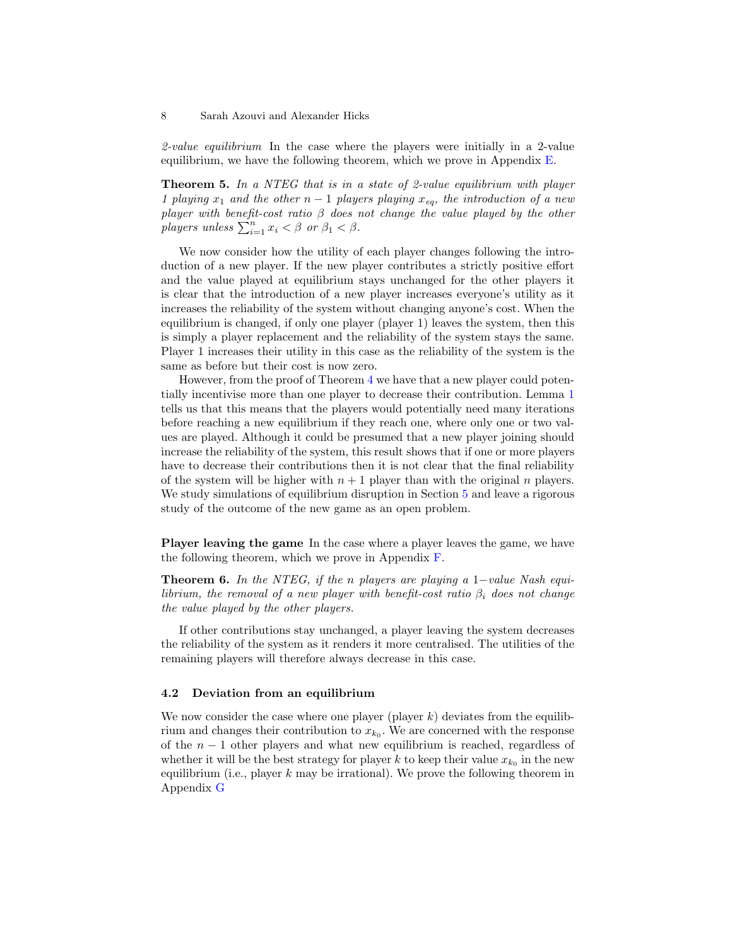2-value equilibrium In the case where the players were initially in a 2-value equilibrium, we have the following theorem, which we prove in Appendix [E.](#page-21-0)

<span id="page-7-1"></span>Theorem 5. In a NTEG that is in a state of 2-value equilibrium with player 1 playing  $x_1$  and the other  $n-1$  players playing  $x_{eq}$ , the introduction of a new player with benefit-cost ratio  $\beta$  does not change the value played by the other players unless  $\sum_{i=1}^{n} x_i < \beta$  or  $\beta_1 < \beta$ .

We now consider how the utility of each player changes following the introduction of a new player. If the new player contributes a strictly positive effort and the value played at equilibrium stays unchanged for the other players it is clear that the introduction of a new player increases everyone's utility as it increases the reliability of the system without changing anyone's cost. When the equilibrium is changed, if only one player (player 1) leaves the system, then this is simply a player replacement and the reliability of the system stays the same. Player 1 increases their utility in this case as the reliability of the system is the same as before but their cost is now zero.

However, from the proof of Theorem [4](#page-6-2) we have that a new player could potentially incentivise more than one player to decrease their contribution. Lemma [1](#page-4-3) tells us that this means that the players would potentially need many iterations before reaching a new equilibrium if they reach one, where only one or two values are played. Although it could be presumed that a new player joining should increase the reliability of the system, this result shows that if one or more players have to decrease their contributions then it is not clear that the final reliability of the system will be higher with  $n + 1$  player than with the original n players. We study simulations of equilibrium disruption in Section [5](#page-9-0) and leave a rigorous study of the outcome of the new game as an open problem.

<span id="page-7-2"></span>Player leaving the game In the case where a player leaves the game, we have the following theorem, which we prove in Appendix [F.](#page-21-1)

**Theorem 6.** In the NTEG, if the n players are playing a 1-value Nash equilibrium, the removal of a new player with benefit-cost ratio  $\beta_i$  does not change the value played by the other players.

If other contributions stay unchanged, a player leaving the system decreases the reliability of the system as it renders it more centralised. The utilities of the remaining players will therefore always decrease in this case.

#### 4.2 Deviation from an equilibrium

<span id="page-7-0"></span>We now consider the case where one player (player  $k$ ) deviates from the equilibrium and changes their contribution to  $x_{k_0}$ . We are concerned with the response of the  $n-1$  other players and what new equilibrium is reached, regardless of whether it will be the best strategy for player k to keep their value  $x_{k_0}$  in the new equilibrium (i.e., player  $k$  may be irrational). We prove the following theorem in Appendix [G](#page-21-2)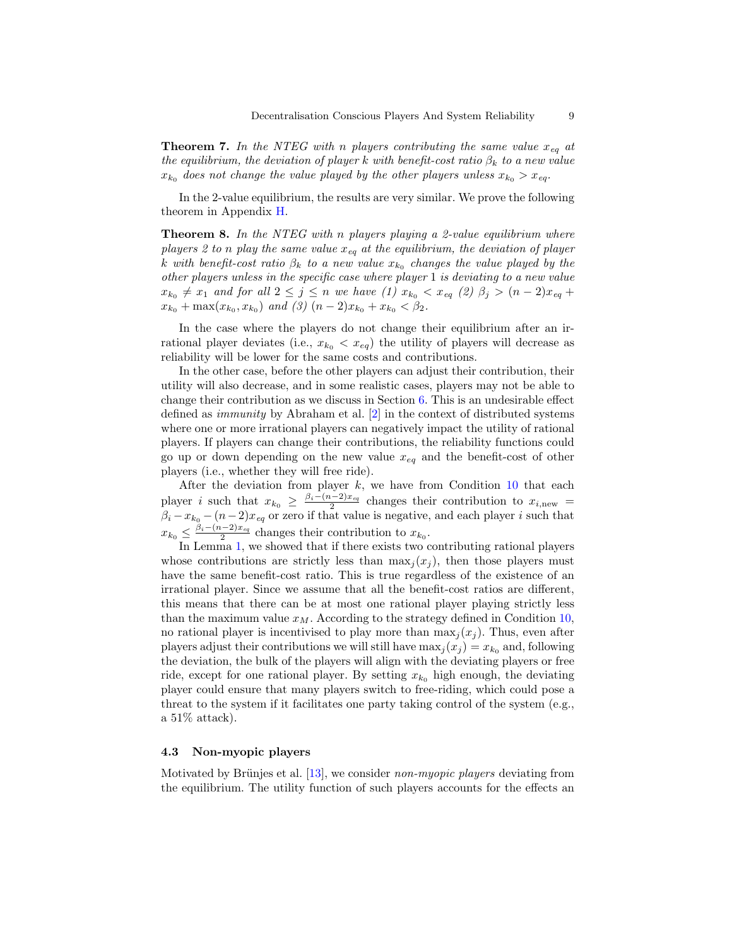**Theorem 7.** In the NTEG with n players contributing the same value  $x_{eq}$  at the equilibrium, the deviation of player k with benefit-cost ratio  $\beta_k$  to a new value  $x_{k_0}$  does not change the value played by the other players unless  $x_{k_0} > x_{eq}$ .

In the 2-value equilibrium, the results are very similar. We prove the following theorem in Appendix [H.](#page-22-0)

<span id="page-8-0"></span>**Theorem 8.** In the NTEG with n players playing a 2-value equilibrium where players 2 to n play the same value  $x_{eq}$  at the equilibrium, the deviation of player k with benefit-cost ratio  $\beta_k$  to a new value  $x_{k_0}$  changes the value played by the other players unless in the specific case where player 1 is deviating to a new value  $x_{k_0} \neq x_1$  and for all  $2 \leq j \leq n$  we have (1)  $x_{k_0} < x_{eq}$  (2)  $\beta_j > (n-2)x_{eq} +$  $x_{k_0} + \max(x_{k_0}, x_{k_0})$  and (3)  $(n-2)x_{k_0} + x_{k_0} < \beta_2$ .

In the case where the players do not change their equilibrium after an irrational player deviates (i.e.,  $x_{k_0} < x_{eq}$ ) the utility of players will decrease as reliability will be lower for the same costs and contributions.

In the other case, before the other players can adjust their contribution, their utility will also decrease, and in some realistic cases, players may not be able to change their contribution as we discuss in Section [6.](#page-12-0) This is an undesirable effect defined as immunity by Abraham et al. [\[2\]](#page-15-4) in the context of distributed systems where one or more irrational players can negatively impact the utility of rational players. If players can change their contributions, the reliability functions could go up or down depending on the new value  $x_{eq}$  and the benefit-cost of other players (i.e., whether they will free ride).

After the deviation from player  $k$ , we have from Condition [10](#page-6-1) that each player *i* such that  $x_{k_0} \geq \frac{\beta_i - (n-2)x_{eq}}{2}$  changes their contribution to  $x_{i, new} =$  $\beta_i - x_{k_0} - (n-2)x_{eq}$  or zero if that value is negative, and each player i such that  $x_{k_0} \leq \frac{\beta_i - (n-2)x_{eq}}{2}$  changes their contribution to  $x_{k_0}$ .

In Lemma [1,](#page-4-3) we showed that if there exists two contributing rational players whose contributions are strictly less than  $\max_i (x_i)$ , then those players must have the same benefit-cost ratio. This is true regardless of the existence of an irrational player. Since we assume that all the benefit-cost ratios are different, this means that there can be at most one rational player playing strictly less than the maximum value  $x_M$ . According to the strategy defined in Condition [10,](#page-6-1) no rational player is incentivised to play more than  $\max_i (x_i)$ . Thus, even after players adjust their contributions we will still have  $\max_j (x_j) = x_{k_0}$  and, following the deviation, the bulk of the players will align with the deviating players or free ride, except for one rational player. By setting  $x_{k_0}$  high enough, the deviating player could ensure that many players switch to free-riding, which could pose a threat to the system if it facilitates one party taking control of the system (e.g., a 51% attack).

#### 4.3 Non-myopic players

Motivated by Brünjes et al.  $[13]$ , we consider non-myopic players deviating from the equilibrium. The utility function of such players accounts for the effects an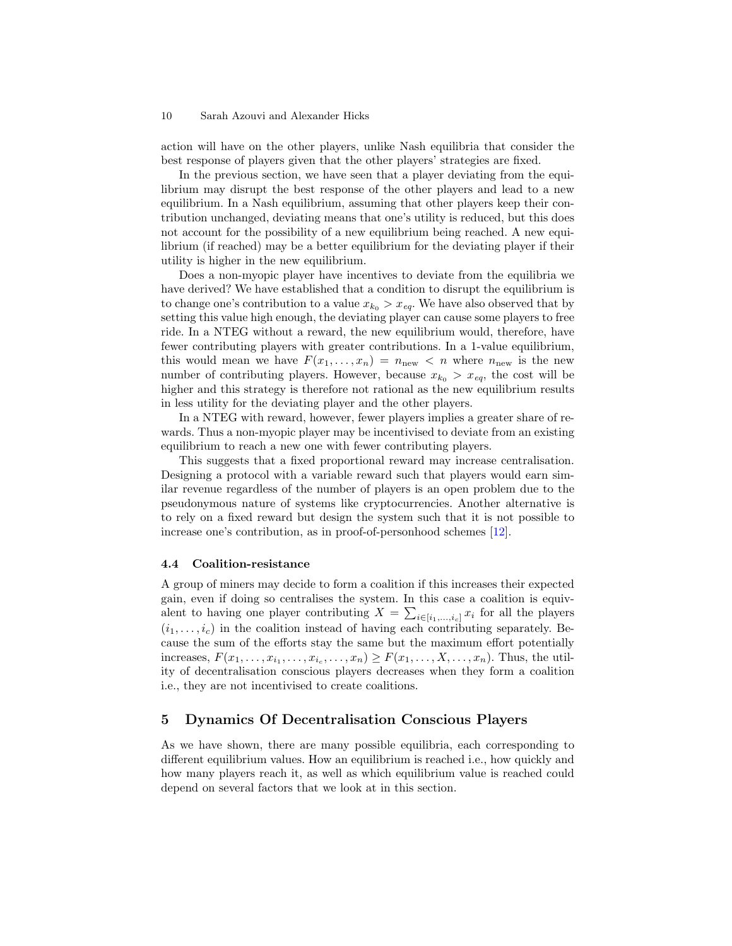action will have on the other players, unlike Nash equilibria that consider the best response of players given that the other players' strategies are fixed.

In the previous section, we have seen that a player deviating from the equilibrium may disrupt the best response of the other players and lead to a new equilibrium. In a Nash equilibrium, assuming that other players keep their contribution unchanged, deviating means that one's utility is reduced, but this does not account for the possibility of a new equilibrium being reached. A new equilibrium (if reached) may be a better equilibrium for the deviating player if their utility is higher in the new equilibrium.

Does a non-myopic player have incentives to deviate from the equilibria we have derived? We have established that a condition to disrupt the equilibrium is to change one's contribution to a value  $x_{k_0} > x_{eq}$ . We have also observed that by setting this value high enough, the deviating player can cause some players to free ride. In a NTEG without a reward, the new equilibrium would, therefore, have fewer contributing players with greater contributions. In a 1-value equilibrium, this would mean we have  $F(x_1, \ldots, x_n) = n_{\text{new}} < n$  where  $n_{\text{new}}$  is the new number of contributing players. However, because  $x_{k_0} > x_{eq}$ , the cost will be higher and this strategy is therefore not rational as the new equilibrium results in less utility for the deviating player and the other players.

In a NTEG with reward, however, fewer players implies a greater share of rewards. Thus a non-myopic player may be incentivised to deviate from an existing equilibrium to reach a new one with fewer contributing players.

This suggests that a fixed proportional reward may increase centralisation. Designing a protocol with a variable reward such that players would earn similar revenue regardless of the number of players is an open problem due to the pseudonymous nature of systems like cryptocurrencies. Another alternative is to rely on a fixed reward but design the system such that it is not possible to increase one's contribution, as in proof-of-personhood schemes [\[12\]](#page-16-9).

#### 4.4 Coalition-resistance

A group of miners may decide to form a coalition if this increases their expected gain, even if doing so centralises the system. In this case a coalition is equivalent to having one player contributing  $X = \sum_{i \in [i_1, ..., i_c]} x_i$  for all the players  $(i_1, \ldots, i_c)$  in the coalition instead of having each contributing separately. Because the sum of the efforts stay the same but the maximum effort potentially increases,  $F(x_1, \ldots, x_{i_1}, \ldots, x_{i_c}, \ldots, x_n) \geq F(x_1, \ldots, X, \ldots, x_n)$ . Thus, the utility of decentralisation conscious players decreases when they form a coalition i.e., they are not incentivised to create coalitions.

# <span id="page-9-0"></span>5 Dynamics Of Decentralisation Conscious Players

As we have shown, there are many possible equilibria, each corresponding to different equilibrium values. How an equilibrium is reached i.e., how quickly and how many players reach it, as well as which equilibrium value is reached could depend on several factors that we look at in this section.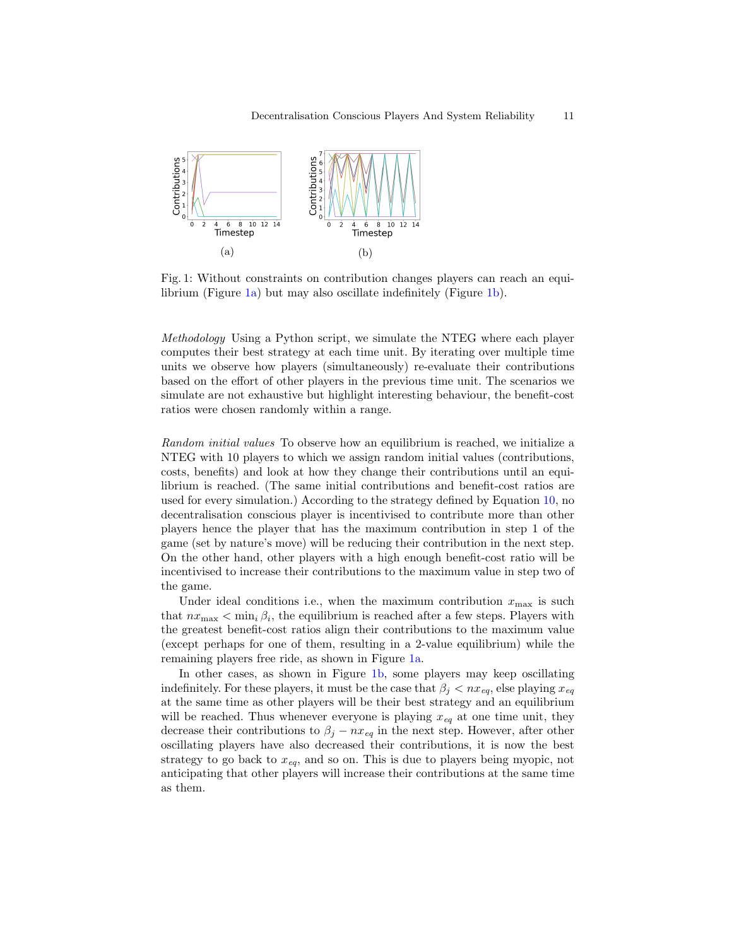<span id="page-10-0"></span>

Fig. 1: Without constraints on contribution changes players can reach an equi-librium (Figure [1a\)](#page-10-0) but may also oscillate indefinitely (Figure [1b\)](#page-10-0).

Methodology Using a Python script, we simulate the NTEG where each player computes their best strategy at each time unit. By iterating over multiple time units we observe how players (simultaneously) re-evaluate their contributions based on the effort of other players in the previous time unit. The scenarios we simulate are not exhaustive but highlight interesting behaviour, the benefit-cost ratios were chosen randomly within a range.

Random initial values To observe how an equilibrium is reached, we initialize a NTEG with 10 players to which we assign random initial values (contributions, costs, benefits) and look at how they change their contributions until an equilibrium is reached. (The same initial contributions and benefit-cost ratios are used for every simulation.) According to the strategy defined by Equation [10,](#page-6-1) no decentralisation conscious player is incentivised to contribute more than other players hence the player that has the maximum contribution in step 1 of the game (set by nature's move) will be reducing their contribution in the next step. On the other hand, other players with a high enough benefit-cost ratio will be incentivised to increase their contributions to the maximum value in step two of the game.

Under ideal conditions i.e., when the maximum contribution  $x_{\text{max}}$  is such that  $nx_{\text{max}} < \min_i \beta_i$ , the equilibrium is reached after a few steps. Players with the greatest benefit-cost ratios align their contributions to the maximum value (except perhaps for one of them, resulting in a 2-value equilibrium) while the remaining players free ride, as shown in Figure [1a.](#page-10-0)

In other cases, as shown in Figure [1b,](#page-10-0) some players may keep oscillating indefinitely. For these players, it must be the case that  $\beta_i < nx_{eq}$ , else playing  $x_{eq}$ at the same time as other players will be their best strategy and an equilibrium will be reached. Thus whenever everyone is playing  $x_{eq}$  at one time unit, they decrease their contributions to  $\beta_j - nx_{eq}$  in the next step. However, after other oscillating players have also decreased their contributions, it is now the best strategy to go back to  $x_{eq}$ , and so on. This is due to players being myopic, not anticipating that other players will increase their contributions at the same time as them.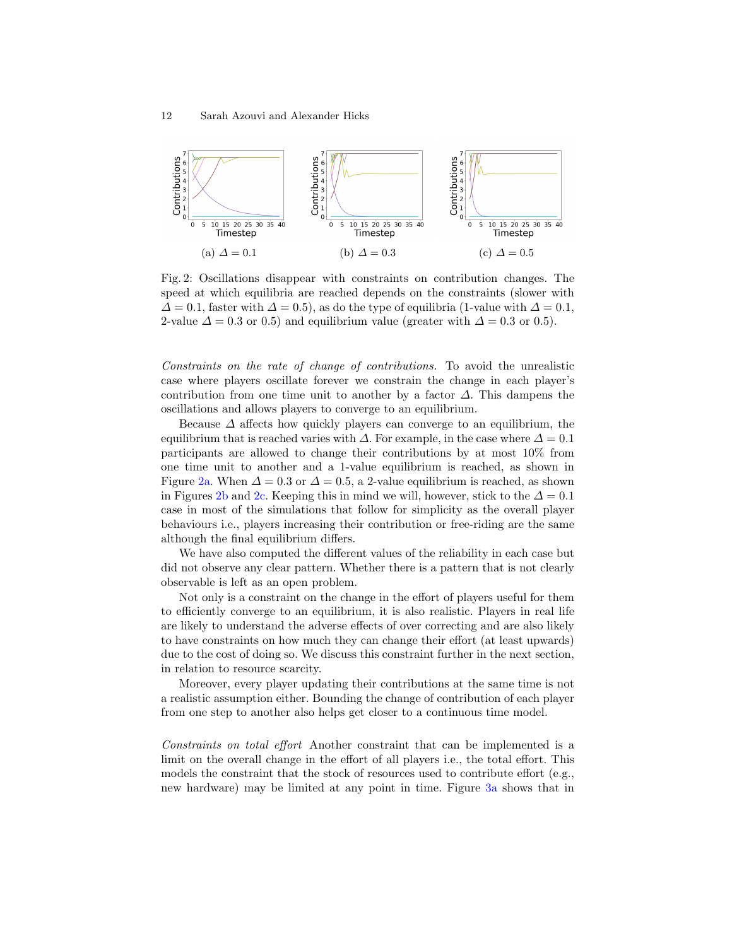<span id="page-11-0"></span>

Fig. 2: Oscillations disappear with constraints on contribution changes. The speed at which equilibria are reached depends on the constraints (slower with  $\Delta = 0.1$ , faster with  $\Delta = 0.5$ ), as do the type of equilibria (1-value with  $\Delta = 0.1$ , 2-value  $\Delta = 0.3$  or 0.5) and equilibrium value (greater with  $\Delta = 0.3$  or 0.5).

Constraints on the rate of change of contributions. To avoid the unrealistic case where players oscillate forever we constrain the change in each player's contribution from one time unit to another by a factor  $\Delta$ . This dampens the oscillations and allows players to converge to an equilibrium.

Because  $\Delta$  affects how quickly players can converge to an equilibrium, the equilibrium that is reached varies with  $\Delta$ . For example, in the case where  $\Delta = 0.1$ participants are allowed to change their contributions by at most 10% from one time unit to another and a 1-value equilibrium is reached, as shown in Figure [2a.](#page-11-0) When  $\Delta = 0.3$  or  $\Delta = 0.5$ , a 2-value equilibrium is reached, as shown in Figures [2b](#page-11-0) and [2c.](#page-11-0) Keeping this in mind we will, however, stick to the  $\Delta = 0.1$ case in most of the simulations that follow for simplicity as the overall player behaviours i.e., players increasing their contribution or free-riding are the same although the final equilibrium differs.

We have also computed the different values of the reliability in each case but did not observe any clear pattern. Whether there is a pattern that is not clearly observable is left as an open problem.

Not only is a constraint on the change in the effort of players useful for them to efficiently converge to an equilibrium, it is also realistic. Players in real life are likely to understand the adverse effects of over correcting and are also likely to have constraints on how much they can change their effort (at least upwards) due to the cost of doing so. We discuss this constraint further in the next section, in relation to resource scarcity.

Moreover, every player updating their contributions at the same time is not a realistic assumption either. Bounding the change of contribution of each player from one step to another also helps get closer to a continuous time model.

Constraints on total effort Another constraint that can be implemented is a limit on the overall change in the effort of all players i.e., the total effort. This models the constraint that the stock of resources used to contribute effort (e.g., new hardware) may be limited at any point in time. Figure [3a](#page-12-1) shows that in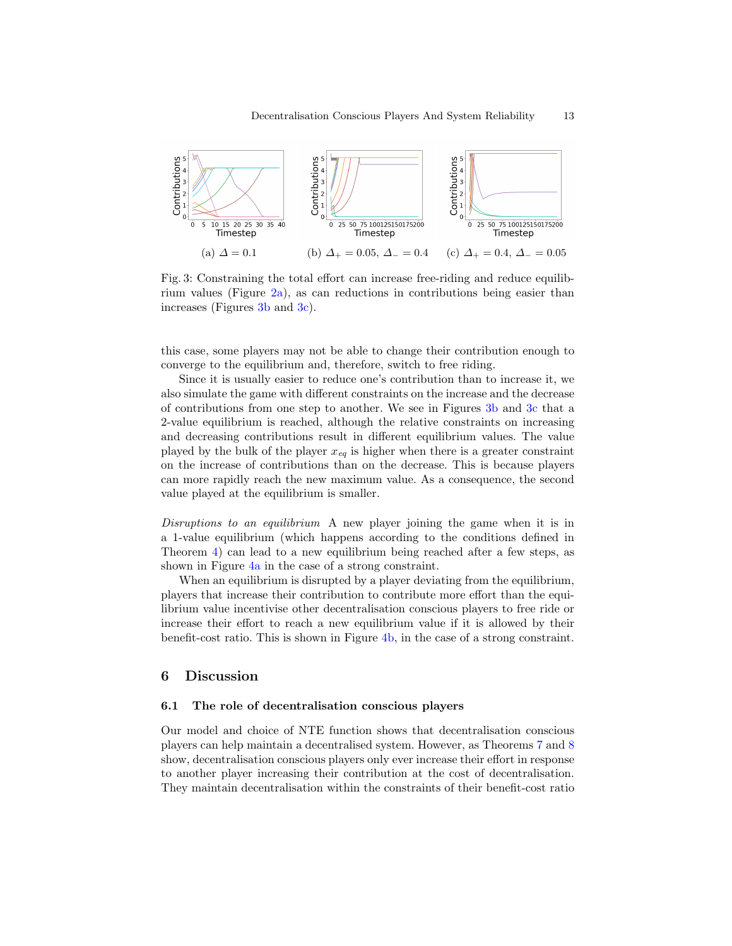<span id="page-12-1"></span>

Fig. 3: Constraining the total effort can increase free-riding and reduce equilibrium values (Figure [2a\)](#page-11-0), as can reductions in contributions being easier than increases (Figures [3b](#page-12-1) and [3c\)](#page-12-1).

this case, some players may not be able to change their contribution enough to converge to the equilibrium and, therefore, switch to free riding.

Since it is usually easier to reduce one's contribution than to increase it, we also simulate the game with different constraints on the increase and the decrease of contributions from one step to another. We see in Figures [3b](#page-12-1) and [3c](#page-12-1) that a 2-value equilibrium is reached, although the relative constraints on increasing and decreasing contributions result in different equilibrium values. The value played by the bulk of the player  $x_{eq}$  is higher when there is a greater constraint on the increase of contributions than on the decrease. This is because players can more rapidly reach the new maximum value. As a consequence, the second value played at the equilibrium is smaller.

Disruptions to an equilibrium A new player joining the game when it is in a 1-value equilibrium (which happens according to the conditions defined in Theorem [4\)](#page-6-2) can lead to a new equilibrium being reached after a few steps, as shown in Figure [4a](#page-13-0) in the case of a strong constraint.

When an equilibrium is disrupted by a player deviating from the equilibrium, players that increase their contribution to contribute more effort than the equilibrium value incentivise other decentralisation conscious players to free ride or increase their effort to reach a new equilibrium value if it is allowed by their benefit-cost ratio. This is shown in Figure [4b,](#page-13-0) in the case of a strong constraint.

# <span id="page-12-0"></span>6 Discussion

#### 6.1 The role of decentralisation conscious players

Our model and choice of NTE function shows that decentralisation conscious players can help maintain a decentralised system. However, as Theorems [7](#page-7-0) and [8](#page-8-0) show, decentralisation conscious players only ever increase their effort in response to another player increasing their contribution at the cost of decentralisation. They maintain decentralisation within the constraints of their benefit-cost ratio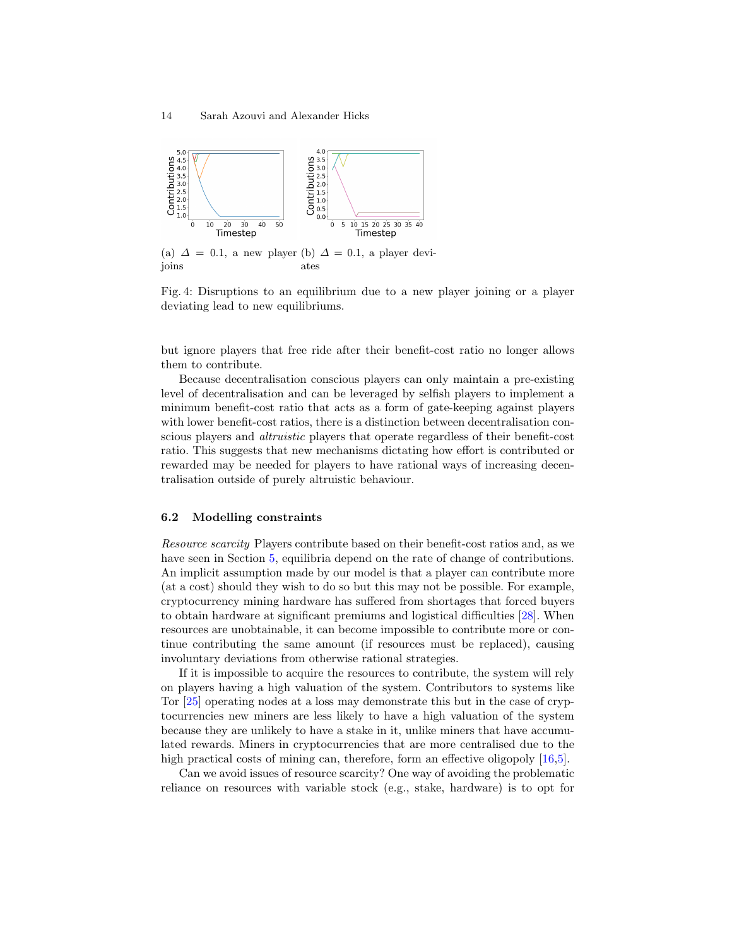<span id="page-13-0"></span>

joins ates

Fig. 4: Disruptions to an equilibrium due to a new player joining or a player deviating lead to new equilibriums.

but ignore players that free ride after their benefit-cost ratio no longer allows them to contribute.

Because decentralisation conscious players can only maintain a pre-existing level of decentralisation and can be leveraged by selfish players to implement a minimum benefit-cost ratio that acts as a form of gate-keeping against players with lower benefit-cost ratios, there is a distinction between decentralisation conscious players and altruistic players that operate regardless of their benefit-cost ratio. This suggests that new mechanisms dictating how effort is contributed or rewarded may be needed for players to have rational ways of increasing decentralisation outside of purely altruistic behaviour.

#### 6.2 Modelling constraints

Resource scarcity Players contribute based on their benefit-cost ratios and, as we have seen in Section [5,](#page-9-0) equilibria depend on the rate of change of contributions. An implicit assumption made by our model is that a player can contribute more (at a cost) should they wish to do so but this may not be possible. For example, cryptocurrency mining hardware has suffered from shortages that forced buyers to obtain hardware at significant premiums and logistical difficulties [\[28\]](#page-16-10). When resources are unobtainable, it can become impossible to contribute more or continue contributing the same amount (if resources must be replaced), causing involuntary deviations from otherwise rational strategies.

If it is impossible to acquire the resources to contribute, the system will rely on players having a high valuation of the system. Contributors to systems like Tor [\[25\]](#page-16-11) operating nodes at a loss may demonstrate this but in the case of cryptocurrencies new miners are less likely to have a high valuation of the system because they are unlikely to have a stake in it, unlike miners that have accumulated rewards. Miners in cryptocurrencies that are more centralised due to the high practical costs of mining can, therefore, form an effective oligopoly [\[16,](#page-16-12)[5\]](#page-15-5).

Can we avoid issues of resource scarcity? One way of avoiding the problematic reliance on resources with variable stock (e.g., stake, hardware) is to opt for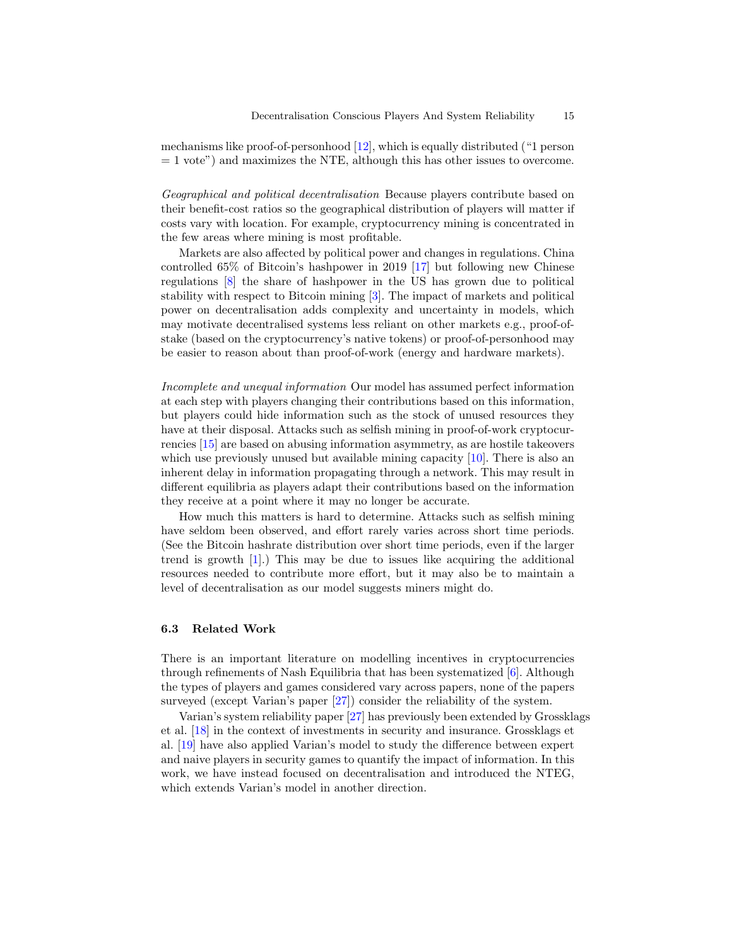mechanisms like proof-of-personhood [\[12\]](#page-16-9), which is equally distributed ("1 person  $= 1$  vote") and maximizes the NTE, although this has other issues to overcome.

Geographical and political decentralisation Because players contribute based on their benefit-cost ratios so the geographical distribution of players will matter if costs vary with location. For example, cryptocurrency mining is concentrated in the few areas where mining is most profitable.

Markets are also affected by political power and changes in regulations. China controlled 65% of Bitcoin's hashpower in 2019 [\[17\]](#page-16-13) but following new Chinese regulations [\[8\]](#page-15-6) the share of hashpower in the US has grown due to political stability with respect to Bitcoin mining [\[3\]](#page-15-7). The impact of markets and political power on decentralisation adds complexity and uncertainty in models, which may motivate decentralised systems less reliant on other markets e.g., proof-ofstake (based on the cryptocurrency's native tokens) or proof-of-personhood may be easier to reason about than proof-of-work (energy and hardware markets).

Incomplete and unequal information Our model has assumed perfect information at each step with players changing their contributions based on this information, but players could hide information such as the stock of unused resources they have at their disposal. Attacks such as selfish mining in proof-of-work cryptocurrencies [\[15\]](#page-16-14) are based on abusing information asymmetry, as are hostile takeovers which use previously unused but available mining capacity  $[10]$ . There is also an inherent delay in information propagating through a network. This may result in different equilibria as players adapt their contributions based on the information they receive at a point where it may no longer be accurate.

How much this matters is hard to determine. Attacks such as selfish mining have seldom been observed, and effort rarely varies across short time periods. (See the Bitcoin hashrate distribution over short time periods, even if the larger trend is growth [\[1\]](#page-15-9).) This may be due to issues like acquiring the additional resources needed to contribute more effort, but it may also be to maintain a level of decentralisation as our model suggests miners might do.

#### 6.3 Related Work

There is an important literature on modelling incentives in cryptocurrencies through refinements of Nash Equilibria that has been systematized [\[6\]](#page-15-10). Although the types of players and games considered vary across papers, none of the papers surveyed (except Varian's paper [\[27\]](#page-16-0)) consider the reliability of the system.

Varian's system reliability paper [\[27\]](#page-16-0) has previously been extended by Grossklags et al. [\[18\]](#page-16-15) in the context of investments in security and insurance. Grossklags et al. [\[19\]](#page-16-16) have also applied Varian's model to study the difference between expert and naive players in security games to quantify the impact of information. In this work, we have instead focused on decentralisation and introduced the NTEG, which extends Varian's model in another direction.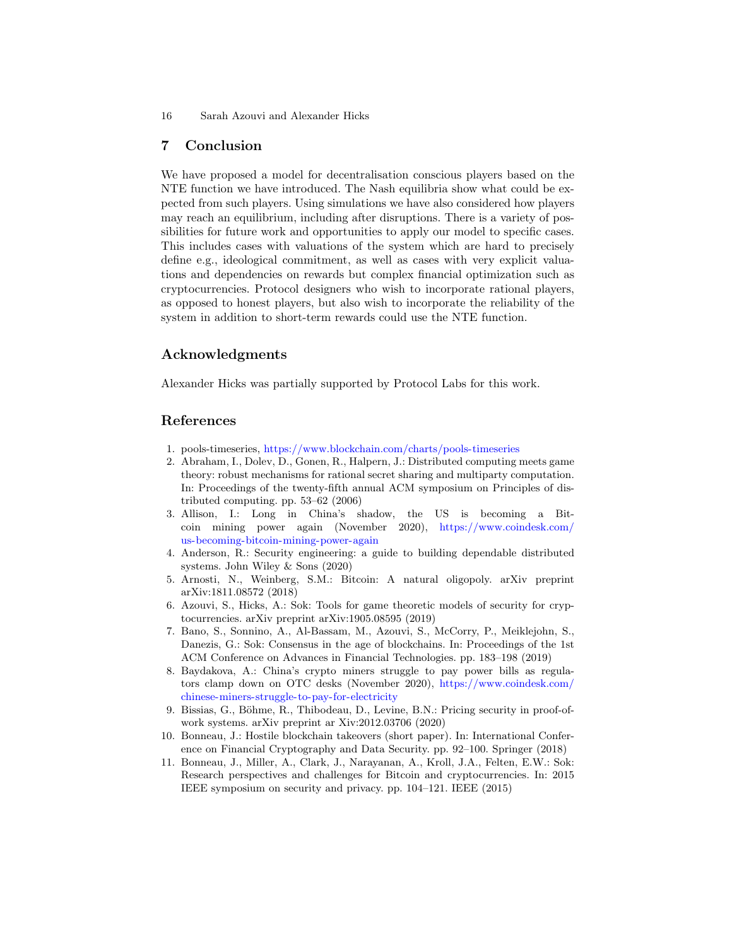# 7 Conclusion

We have proposed a model for decentralisation conscious players based on the NTE function we have introduced. The Nash equilibria show what could be expected from such players. Using simulations we have also considered how players may reach an equilibrium, including after disruptions. There is a variety of possibilities for future work and opportunities to apply our model to specific cases. This includes cases with valuations of the system which are hard to precisely define e.g., ideological commitment, as well as cases with very explicit valuations and dependencies on rewards but complex financial optimization such as cryptocurrencies. Protocol designers who wish to incorporate rational players, as opposed to honest players, but also wish to incorporate the reliability of the system in addition to short-term rewards could use the NTE function.

# Acknowledgments

Alexander Hicks was partially supported by Protocol Labs for this work.

# References

- <span id="page-15-9"></span>1. pools-timeseries, <https://www.blockchain.com/charts/pools-timeseries>
- <span id="page-15-4"></span>2. Abraham, I., Dolev, D., Gonen, R., Halpern, J.: Distributed computing meets game theory: robust mechanisms for rational secret sharing and multiparty computation. In: Proceedings of the twenty-fifth annual ACM symposium on Principles of distributed computing. pp. 53–62 (2006)
- <span id="page-15-7"></span>3. Allison, I.: Long in China's shadow, the US is becoming a Bitcoin mining power again (November 2020), [https://www.coindesk.com/](https://www.coindesk.com/us-becoming-bitcoin-mining-power-again) [us-becoming-bitcoin-mining-power-again](https://www.coindesk.com/us-becoming-bitcoin-mining-power-again)
- <span id="page-15-3"></span>4. Anderson, R.: Security engineering: a guide to building dependable distributed systems. John Wiley & Sons (2020)
- <span id="page-15-5"></span>5. Arnosti, N., Weinberg, S.M.: Bitcoin: A natural oligopoly. arXiv preprint arXiv:1811.08572 (2018)
- <span id="page-15-10"></span>6. Azouvi, S., Hicks, A.: Sok: Tools for game theoretic models of security for cryptocurrencies. arXiv preprint arXiv:1905.08595 (2019)
- <span id="page-15-0"></span>7. Bano, S., Sonnino, A., Al-Bassam, M., Azouvi, S., McCorry, P., Meiklejohn, S., Danezis, G.: Sok: Consensus in the age of blockchains. In: Proceedings of the 1st ACM Conference on Advances in Financial Technologies. pp. 183–198 (2019)
- <span id="page-15-6"></span>8. Baydakova, A.: China's crypto miners struggle to pay power bills as regulators clamp down on OTC desks (November 2020), [https://www.coindesk.com/](https://www.coindesk.com/chinese-miners-struggle-to-pay-for-electricity) [chinese-miners-struggle-to-pay-for-electricity](https://www.coindesk.com/chinese-miners-struggle-to-pay-for-electricity)
- <span id="page-15-1"></span>9. Bissias, G., Böhme, R., Thibodeau, D., Levine, B.N.: Pricing security in proof-ofwork systems. arXiv preprint ar Xiv:2012.03706 (2020)
- <span id="page-15-8"></span>10. Bonneau, J.: Hostile blockchain takeovers (short paper). In: International Conference on Financial Cryptography and Data Security. pp. 92–100. Springer (2018)
- <span id="page-15-2"></span>11. Bonneau, J., Miller, A., Clark, J., Narayanan, A., Kroll, J.A., Felten, E.W.: Sok: Research perspectives and challenges for Bitcoin and cryptocurrencies. In: 2015 IEEE symposium on security and privacy. pp. 104–121. IEEE (2015)

<sup>16</sup> Sarah Azouvi and Alexander Hicks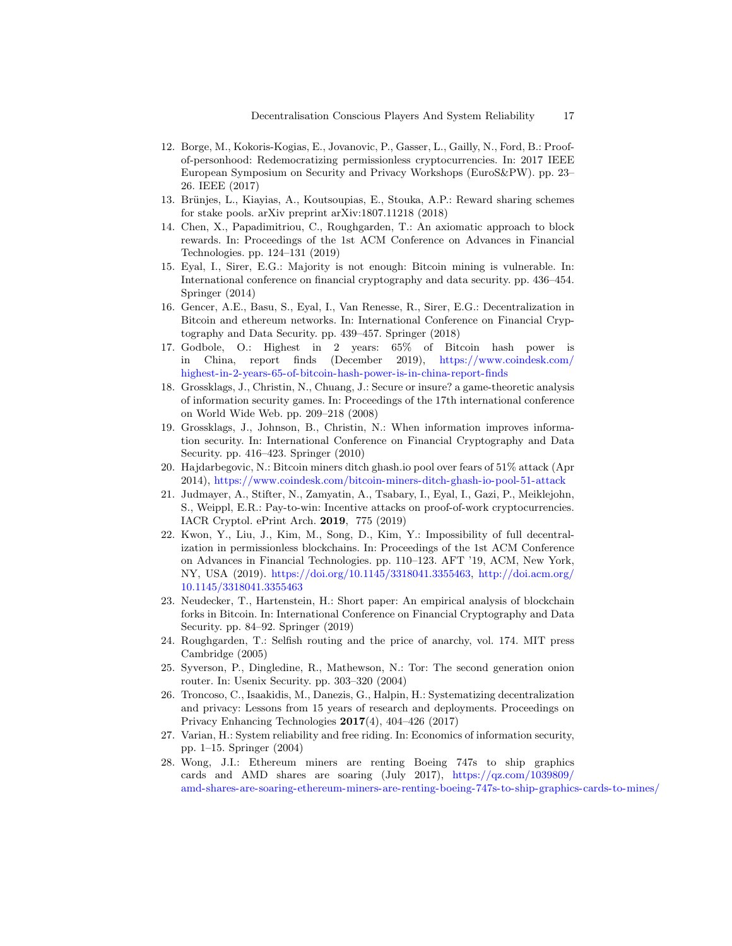- <span id="page-16-9"></span>12. Borge, M., Kokoris-Kogias, E., Jovanovic, P., Gasser, L., Gailly, N., Ford, B.: Proofof-personhood: Redemocratizing permissionless cryptocurrencies. In: 2017 IEEE European Symposium on Security and Privacy Workshops (EuroS&PW). pp. 23– 26. IEEE (2017)
- <span id="page-16-8"></span>13. Brünjes, L., Kiayias, A., Koutsoupias, E., Stouka, A.P.: Reward sharing schemes for stake pools. arXiv preprint arXiv:1807.11218 (2018)
- <span id="page-16-7"></span>14. Chen, X., Papadimitriou, C., Roughgarden, T.: An axiomatic approach to block rewards. In: Proceedings of the 1st ACM Conference on Advances in Financial Technologies. pp. 124–131 (2019)
- <span id="page-16-14"></span>15. Eyal, I., Sirer, E.G.: Majority is not enough: Bitcoin mining is vulnerable. In: International conference on financial cryptography and data security. pp. 436–454. Springer (2014)
- <span id="page-16-12"></span>16. Gencer, A.E., Basu, S., Eyal, I., Van Renesse, R., Sirer, E.G.: Decentralization in Bitcoin and ethereum networks. In: International Conference on Financial Cryptography and Data Security. pp. 439–457. Springer (2018)
- <span id="page-16-13"></span>17. Godbole, O.: Highest in 2 years: 65% of Bitcoin hash power is in China, report finds (December 2019), [https://www.coindesk.com/](https://www.coindesk.com/highest-in-2-years-65-of-bitcoin-hash-power-is-in-china-report-finds) [highest-in-2-years-65-of-bitcoin-hash-power-is-in-china-report-finds](https://www.coindesk.com/highest-in-2-years-65-of-bitcoin-hash-power-is-in-china-report-finds)
- <span id="page-16-15"></span>18. Grossklags, J., Christin, N., Chuang, J.: Secure or insure? a game-theoretic analysis of information security games. In: Proceedings of the 17th international conference on World Wide Web. pp. 209–218 (2008)
- <span id="page-16-16"></span>19. Grossklags, J., Johnson, B., Christin, N.: When information improves information security. In: International Conference on Financial Cryptography and Data Security. pp. 416–423. Springer (2010)
- <span id="page-16-4"></span>20. Hajdarbegovic, N.: Bitcoin miners ditch ghash.io pool over fears of 51% attack (Apr 2014), <https://www.coindesk.com/bitcoin-miners-ditch-ghash-io-pool-51-attack>
- <span id="page-16-2"></span>21. Judmayer, A., Stifter, N., Zamyatin, A., Tsabary, I., Eyal, I., Gazi, P., Meiklejohn, S., Weippl, E.R.: Pay-to-win: Incentive attacks on proof-of-work cryptocurrencies. IACR Cryptol. ePrint Arch. 2019, 775 (2019)
- <span id="page-16-6"></span>22. Kwon, Y., Liu, J., Kim, M., Song, D., Kim, Y.: Impossibility of full decentralization in permissionless blockchains. In: Proceedings of the 1st ACM Conference on Advances in Financial Technologies. pp. 110–123. AFT '19, ACM, New York, NY, USA (2019). [https://doi.org/10.1145/3318041.3355463,](https://doi.org/10.1145/3318041.3355463) [http://doi.acm.org/](http://doi.acm.org/10.1145/3318041.3355463) [10.1145/3318041.3355463](http://doi.acm.org/10.1145/3318041.3355463)
- <span id="page-16-3"></span>23. Neudecker, T., Hartenstein, H.: Short paper: An empirical analysis of blockchain forks in Bitcoin. In: International Conference on Financial Cryptography and Data Security. pp. 84–92. Springer (2019)
- <span id="page-16-5"></span>24. Roughgarden, T.: Selfish routing and the price of anarchy, vol. 174. MIT press Cambridge (2005)
- <span id="page-16-11"></span>25. Syverson, P., Dingledine, R., Mathewson, N.: Tor: The second generation onion router. In: Usenix Security. pp. 303–320 (2004)
- <span id="page-16-1"></span>26. Troncoso, C., Isaakidis, M., Danezis, G., Halpin, H.: Systematizing decentralization and privacy: Lessons from 15 years of research and deployments. Proceedings on Privacy Enhancing Technologies 2017(4), 404–426 (2017)
- <span id="page-16-0"></span>27. Varian, H.: System reliability and free riding. In: Economics of information security, pp. 1–15. Springer (2004)
- <span id="page-16-10"></span>28. Wong, J.I.: Ethereum miners are renting Boeing 747s to ship graphics cards and AMD shares are soaring (July 2017), [https://qz.com/1039809/](https://qz.com/1039809/amd-shares-are-soaring-ethereum-miners-are-renting-boeing-747s-to-ship-graphics-cards-to-mines/) [amd-shares-are-soaring-ethereum-miners-are-renting-boeing-747s-to-ship-graphics-cards-to-mines/](https://qz.com/1039809/amd-shares-are-soaring-ethereum-miners-are-renting-boeing-747s-to-ship-graphics-cards-to-mines/)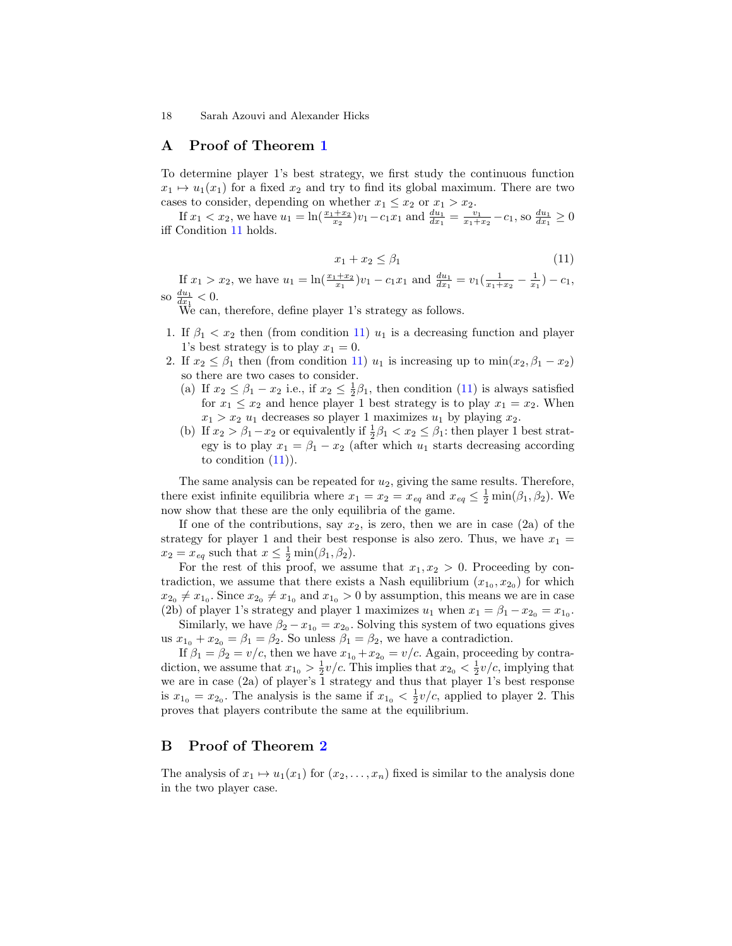## <span id="page-17-0"></span>A Proof of Theorem [1](#page-3-2)

To determine player 1's best strategy, we first study the continuous function  $x_1 \mapsto u_1(x_1)$  for a fixed  $x_2$  and try to find its global maximum. There are two cases to consider, depending on whether  $x_1 \le x_2$  or  $x_1 > x_2$ .

If  $x_1 < x_2$ , we have  $u_1 = \ln(\frac{x_1+x_2}{x_2})v_1 - c_1x_1$  and  $\frac{du_1}{dx_1} = \frac{v_1}{x_1+x_2} - c_1$ , so  $\frac{du_1}{dx_1} \ge 0$ iff Condition [11](#page-17-2) holds.

<span id="page-17-2"></span>
$$
x_1 + x_2 \le \beta_1 \tag{11}
$$

If  $x_1 > x_2$ , we have  $u_1 = \ln(\frac{x_1 + x_2}{x_1})v_1 - c_1x_1$  and  $\frac{du_1}{dx_1} = v_1(\frac{1}{x_1 + x_2} - \frac{1}{x_1}) - c_1$ , so  $\frac{du_1}{dx_1} < 0$ .

We can, therefore, define player 1's strategy as follows.

- 1. If  $\beta_1 < x_2$  then (from condition [11\)](#page-17-2)  $u_1$  is a decreasing function and player 1's best strategy is to play  $x_1 = 0$ .
- 2. If  $x_2 \leq \beta_1$  then (from condition [11\)](#page-17-2)  $u_1$  is increasing up to  $\min(x_2, \beta_1 x_2)$ so there are two cases to consider.
	- (a) If  $x_2 \leq \beta_1 x_2$  i.e., if  $x_2 \leq \frac{1}{2}\beta_1$ , then condition [\(11\)](#page-17-2) is always satisfied for  $x_1 \leq x_2$  and hence player 1 best strategy is to play  $x_1 = x_2$ . When  $x_1 > x_2$  u<sub>1</sub> decreases so player 1 maximizes u<sub>1</sub> by playing  $x_2$ .
	- (b) If  $x_2 > \beta_1 x_2$  or equivalently if  $\frac{1}{2}\beta_1 < x_2 \leq \beta_1$ : then player 1 best strategy is to play  $x_1 = \beta_1 - x_2$  (after which  $u_1$  starts decreasing according to condition  $(11)$ ).

The same analysis can be repeated for  $u_2$ , giving the same results. Therefore, there exist infinite equilibria where  $x_1 = x_2 = x_{eq}$  and  $x_{eq} \leq \frac{1}{2} \min(\beta_1, \beta_2)$ . We now show that these are the only equilibria of the game.

If one of the contributions, say  $x_2$ , is zero, then we are in case (2a) of the strategy for player 1 and their best response is also zero. Thus, we have  $x_1 =$  $x_2 = x_{eq}$  such that  $x \leq \frac{1}{2} \min(\beta_1, \beta_2)$ .

For the rest of this proof, we assume that  $x_1, x_2 > 0$ . Proceeding by contradiction, we assume that there exists a Nash equilibrium  $(x_{1_0}, x_{2_0})$  for which  $x_{2_0} \neq x_{1_0}$ . Since  $x_{2_0} \neq x_{1_0}$  and  $x_{1_0} > 0$  by assumption, this means we are in case (2b) of player 1's strategy and player 1 maximizes  $u_1$  when  $x_1 = \beta_1 - x_{20} = x_{10}$ .

Similarly, we have  $\beta_2 - x_{1_0} = x_{2_0}$ . Solving this system of two equations gives us  $x_{10} + x_{20} = \beta_1 = \beta_2$ . So unless  $\beta_1 = \beta_2$ , we have a contradiction.

If  $\beta_1 = \beta_2 = v/c$ , then we have  $x_{1_0} + x_{2_0} = v/c$ . Again, proceeding by contradiction, we assume that  $x_{10} > \frac{1}{2}v/c$ . This implies that  $x_{20} < \frac{1}{2}v/c$ , implying that we are in case (2a) of player's 1 strategy and thus that player 1's best response is  $x_{1_0} = x_{2_0}$ . The analysis is the same if  $x_{1_0} < \frac{1}{2}v/c$ , applied to player 2. This proves that players contribute the same at the equilibrium.

# <span id="page-17-1"></span>B Proof of Theorem [2](#page-4-5)

The analysis of  $x_1 \mapsto u_1(x_1)$  for  $(x_2, \ldots, x_n)$  fixed is similar to the analysis done in the two player case.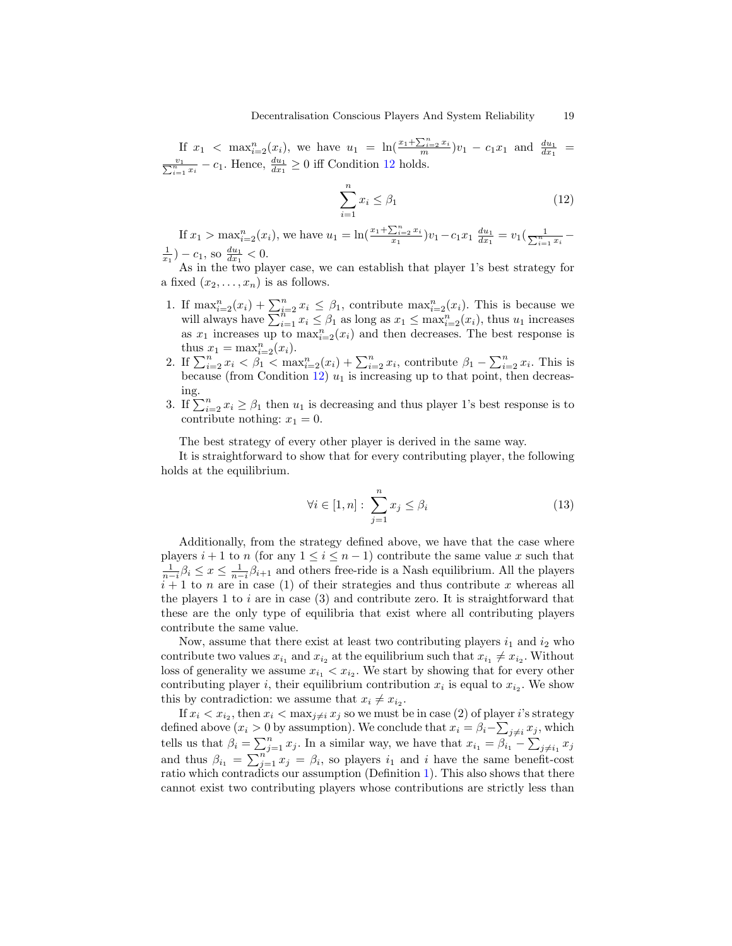If  $x_1 < \max_{i=2}^n (x_i)$ , we have  $u_1 = \ln(\frac{x_1 + \sum_{i=2}^n x_i}{m})v_1 - c_1x_1$  and  $\frac{du_1}{dx_1}$  $\frac{v_1}{\sum_{i=1}^n x_i} - c_1$ . Hence,  $\frac{du_1}{dx_1} \ge 0$  iff Condition [12](#page-18-0) holds.

<span id="page-18-0"></span>
$$
\sum_{i=1}^{n} x_i \le \beta_1 \tag{12}
$$

If  $x_1 > \max_{i=2}^n (x_i)$ , we have  $u_1 = \ln(\frac{x_1 + \sum_{i=2}^n x_i}{x_1})v_1 - c_1x_1 \frac{du_1}{dx_1} = v_1(\frac{1}{\sum_{i=1}^n x_i} \frac{1}{x_1}$ ) –  $c_1$ , so  $\frac{du_1}{dx_1}$  < 0.

As in the two player case, we can establish that player 1's best strategy for a fixed  $(x_2, \ldots, x_n)$  is as follows.

- 1. If  $\max_{i=2}^n (x_i) + \sum_{i=2}^n x_i \leq \beta_1$ , contribute  $\max_{i=2}^n (x_i)$ . This is because we will always have  $\sum_{i=1}^{n-2} x_i \leq \beta_1$  as long as  $x_1 \leq \max_{i=2}^{n-2} (x_i)$ , thus  $u_1$  increases as  $x_1$  increases up to  $\max_{i=2}^n (x_i)$  and then decreases. The best response is thus  $x_1 = \max_{i=2}^n (x_i)$ .
- 2. If  $\sum_{i=2}^{n} x_i < \beta_1 < \max_{i=2}^{n} (x_i) + \sum_{i=2}^{n} x_i$ , contribute  $\beta_1 \sum_{i=2}^{n} x_i$ . This is because (from Condition  $12$ )  $u_1$  is increasing up to that point, then decreasing.
- 3. If  $\sum_{i=2}^{n} x_i \ge \beta_1$  then  $u_1$  is decreasing and thus player 1's best response is to contribute nothing:  $x_1 = 0$ .

The best strategy of every other player is derived in the same way.

It is straightforward to show that for every contributing player, the following holds at the equilibrium.

$$
\forall i \in [1, n]: \sum_{j=1}^{n} x_j \le \beta_i \tag{13}
$$

Additionally, from the strategy defined above, we have that the case where players  $i + 1$  to n (for any  $1 \leq i \leq n - 1$ ) contribute the same value x such that  $\frac{1}{n-i}\beta_i \leq x \leq \frac{1}{n-i}\beta_{i+1}$  and others free-ride is a Nash equilibrium. All the players  $i+1$  to n are in case (1) of their strategies and thus contribute x whereas all the players 1 to  $i$  are in case (3) and contribute zero. It is straightforward that these are the only type of equilibria that exist where all contributing players contribute the same value.

Now, assume that there exist at least two contributing players  $i_1$  and  $i_2$  who contribute two values  $x_{i_1}$  and  $x_{i_2}$  at the equilibrium such that  $x_{i_1} \neq x_{i_2}$ . Without loss of generality we assume  $x_{i_1} < x_{i_2}$ . We start by showing that for every other contributing player *i*, their equilibrium contribution  $x_i$  is equal to  $x_{i_2}$ . We show this by contradiction: we assume that  $x_i \neq x_{i_2}$ .

If  $x_i < x_{i_2}$ , then  $x_i < \max_{j \neq i} x_j$  so we must be in case (2) of player *i*'s strategy defined above  $(x_i > 0$  by assumption). We conclude that  $x_i = \beta_i - \sum_{j \neq i} x_j$ , which tells us that  $\beta_i = \sum_{j=1}^n x_j$ . In a similar way, we have that  $x_{i_1} = \beta_{i_1} \sum_{j \neq i_1} x_j$ and thus  $\beta_{i_1} = \sum_{j=1}^{n} x_j = \beta_i$ , so players  $i_1$  and i have the same benefit-cost ratio which contradicts our assumption (Definition [1\)](#page-3-3). This also shows that there cannot exist two contributing players whose contributions are strictly less than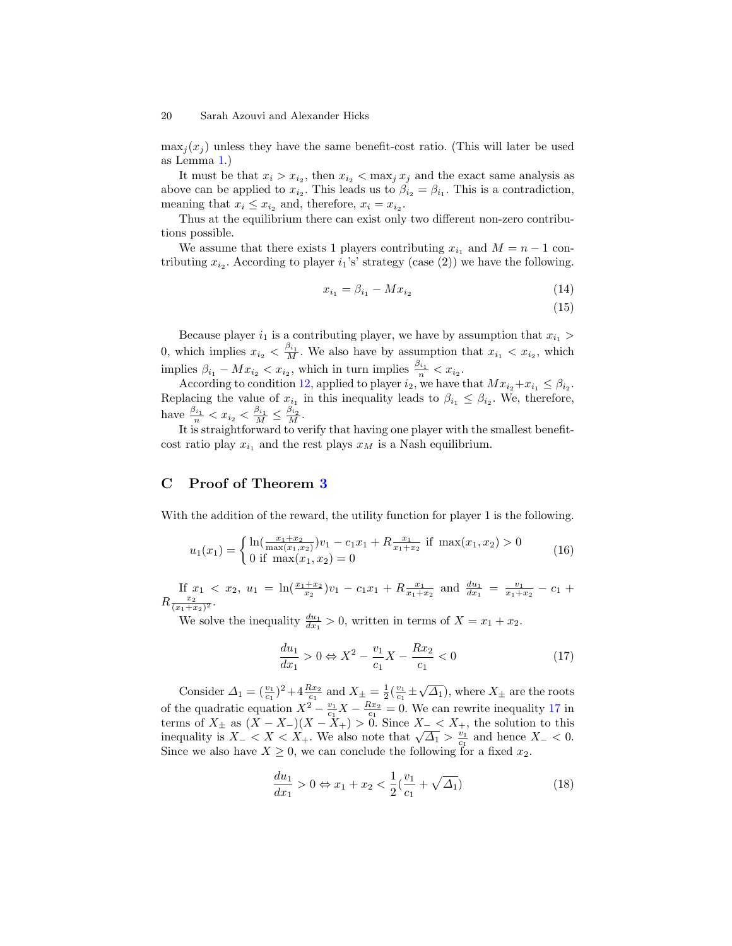$\max_i (x_i)$  unless they have the same benefit-cost ratio. (This will later be used as Lemma [1.](#page-4-3))

It must be that  $x_i > x_{i_2}$ , then  $x_{i_2} < \max_j x_j$  and the exact same analysis as above can be applied to  $x_{i_2}$ . This leads us to  $\beta_{i_2} = \beta_{i_1}$ . This is a contradiction, meaning that  $x_i \leq x_{i_2}$  and, therefore,  $x_i = x_{i_2}$ .

Thus at the equilibrium there can exist only two different non-zero contributions possible.

We assume that there exists 1 players contributing  $x_{i_1}$  and  $M = n - 1$  contributing  $x_{i_2}$ . According to player  $i_1$ 's' strategy (case (2)) we have the following.

$$
x_{i_1} = \beta_{i_1} - Mx_{i_2} \tag{14}
$$

(15)

Because player  $i_1$  is a contributing player, we have by assumption that  $x_{i_1}$  > 0, which implies  $x_{i_2} < \frac{\beta_{i_1}}{M}$ . We also have by assumption that  $x_{i_1} < x_{i_2}$ , which implies  $\beta_{i_1} - Mx_{i_2} < x_{i_2}$ , which in turn implies  $\frac{\beta_{i_1}}{n} < x_{i_2}$ .

According to condition [12,](#page-18-0) applied to player  $i_2$ , we have that  $Mx_{i_2}+x_{i_1} \leq \beta_{i_2}$ . Replacing the value of  $x_{i_1}$  in this inequality leads to  $\beta_{i_1} \leq \beta_{i_2}$ . We, therefore, have  $\frac{\beta_{i_1}}{n} < x_{i_2} < \frac{\beta_{i_1}}{M} \le \frac{\beta_{i_2}}{M}$ .

It is straightforward to verify that having one player with the smallest benefitcost ratio play  $x_{i_1}$  and the rest plays  $x_M$  is a Nash equilibrium.

### <span id="page-19-0"></span>C Proof of Theorem [3](#page-5-0)

With the addition of the reward, the utility function for player 1 is the following.

$$
u_1(x_1) = \begin{cases} \ln(\frac{x_1 + x_2}{\max(x_1, x_2)}) v_1 - c_1 x_1 + R \frac{x_1}{x_1 + x_2} & \text{if } \max(x_1, x_2) > 0\\ 0 & \text{if } \max(x_1, x_2) = 0 \end{cases}
$$
(16)

If  $x_1 < x_2, u_1 = \ln(\frac{x_1 + x_2}{x_2})v_1 - c_1x_1 + R\frac{x_1}{x_1 + x_2}$  and  $\frac{du_1}{dx_1} = \frac{v_1}{x_1 + x_2} - c_1 +$  $R \frac{x_2}{(x_1+x_2)^2}$ .

We solve the inequality  $\frac{du_1}{dx_1} > 0$ , written in terms of  $X = x_1 + x_2$ .

<span id="page-19-1"></span>
$$
\frac{du_1}{dx_1} > 0 \Leftrightarrow X^2 - \frac{v_1}{c_1}X - \frac{Rx_2}{c_1} < 0 \tag{17}
$$

Consider  $\Delta_1 = (\frac{v_1}{c_1})^2 + 4\frac{Rx_2}{c_1}$  and  $X_{\pm} = \frac{1}{2}(\frac{v_1}{c_1} \pm \sqrt{\Delta_1})$ , where  $X_{\pm}$  are the roots of the quadratic equation  $X^2 - \frac{v_1}{c_1}X - \frac{Rx_2}{c_1} = 0$ . We can rewrite inequality [17](#page-19-1) in terms of  $X_{\pm}$  as  $(X - X_{-})(X - X_{+}) > 0$ . Since  $X_{-} < X_{+}$ , the solution to this terms of  $X_{\pm}$  as  $(X - X_{-})(X - X_{+}) > 0$ . Since  $X_{-} < X_{+}$ , the solution to this inequality is  $X_{-} < X < X_{+}$ . We also note that  $\sqrt{ \Delta_1} > \frac{v_1}{c_1}$  and hence  $X_{-} < 0$ . Since we also have  $X \geq 0$ , we can conclude the following for a fixed  $x_2$ .

$$
\frac{du_1}{dx_1} > 0 \Leftrightarrow x_1 + x_2 < \frac{1}{2}(\frac{v_1}{c_1} + \sqrt{\Delta_1})
$$
\n(18)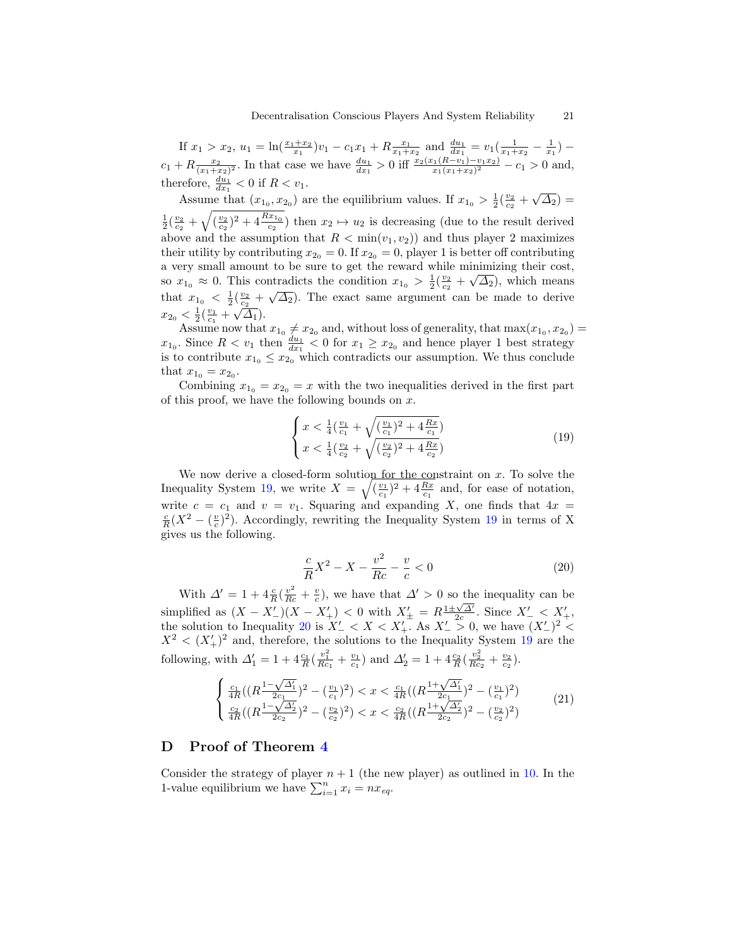If  $x_1 > x_2$ ,  $u_1 = \ln(\frac{x_1+x_2}{x_1})v_1 - c_1x_1 + R\frac{x_1}{x_1+x_2}$  and  $\frac{du_1}{dx_1} = v_1(\frac{1}{x_1+x_2} - \frac{1}{x_1})$  $c_1 + R \frac{x_2}{(x_1+x_2)^2}$ . In that case we have  $\frac{du_1}{dx_1} > 0$  iff  $\frac{x_2(x_1(R-v_1)-v_1x_2)}{x_1(x_1+x_2)^2} - c_1 > 0$  and, therefore,  $\frac{du_1}{dx_1} < 0$  if  $R < v_1$ .

Assume that  $(x_{1_0}, x_{2_0})$  are the equilibrium values. If  $x_{1_0} > \frac{1}{2}(\frac{v_2}{c_2} + \sqrt{\Delta_2}) =$  $\frac{1}{2}(\frac{v_2}{c_2}+\sqrt{(\frac{v_2}{c_2})^2+4\frac{Rx_{10}}{c_2}})$  then  $x_2 \mapsto u_2$  is decreasing (due to the result derived above and the assumption that  $R < \min(v_1, v_2)$  and thus player 2 maximizes their utility by contributing  $x_{20} = 0$ . If  $x_{20} = 0$ , player 1 is better off contributing a very small amount to be sure to get the reward while minimizing their cost, so  $x_{10} \approx 0$ . This contradicts the condition  $x_{10} > \frac{1}{2}(\frac{v_2}{c_2} + \sqrt{\Delta_2})$ , which means that  $x_{10} < \frac{1}{2}(\frac{v_2}{c_2} + \sqrt{\Delta_2})$ . The exact same argument can be made to derive  $c<sub>2</sub>$  $x_{2_0} < \frac{1}{2}(\frac{v_1}{c_1} + \sqrt{\Delta_1}).$ 

Assume now that  $x_{10} \neq x_{20}$  and, without loss of generality, that  $\max(x_{10}, x_{20}) =$  $x_{10}$ . Since  $R < v_1$  then  $\frac{du_1}{dx_1} < 0$  for  $x_1 \ge x_{20}$  and hence player 1 best strategy is to contribute  $x_{1_0} \leq x_{2_0}$  which contradicts our assumption. We thus conclude that  $x_{1_0} = x_{2_0}$ .

Combining  $x_{1_0} = x_{2_0} = x$  with the two inequalities derived in the first part of this proof, we have the following bounds on  $x$ .

<span id="page-20-1"></span>
$$
\begin{cases} x < \frac{1}{4} \left( \frac{v_1}{c_1} + \sqrt{\left( \frac{v_1}{c_1} \right)^2 + 4 \frac{Rx}{c_1}} \right) \\ x < \frac{1}{4} \left( \frac{v_2}{c_2} + \sqrt{\left( \frac{v_2}{c_2} \right)^2 + 4 \frac{Rx}{c_2}} \right) \end{cases} \tag{19}
$$

We now derive a closed-form solution for the constraint on  $x$ . To solve the Inequality System [19,](#page-20-1) we write  $X = \sqrt{\frac{v_1}{c_1}^2 + 4\frac{Rx}{c_1}}$  and, for ease of notation, write  $c = c_1$  and  $v = v_1$ . Squaring and expanding X, one finds that  $4x =$  $\frac{c}{R}(X^2 - (\frac{v}{c})^2)$ . Accordingly, rewriting the Inequality System [19](#page-20-1) in terms of X gives us the following.

<span id="page-20-2"></span>
$$
\frac{c}{R}X^2 - X - \frac{v^2}{Rc} - \frac{v}{c} < 0\tag{20}
$$

With  $\Delta' = 1 + 4 \frac{c}{R} (\frac{v^2}{Rc} + \frac{v}{c}),$  we have that  $\Delta' > 0$  so the inequality can be simplified as  $(X - X'_{-})(X - X'_{+}) < 0$  with  $X'_{\pm} = R \frac{1 \pm \sqrt{\Delta'}}{2c}$ . Since  $X'_{-} < X'_{+}$ , the solution to Inequality [20](#page-20-2) is  $X'_{-} < X < X'_{+}$ . As  $X'_{-} > 0$ , we have  $(X'_{-})^2 <$  $X^2 < (X_+')^2$  and, therefore, the solutions to the Inequality System [19](#page-20-1) are the following, with  $\Delta_1' = 1 + 4\frac{c_1}{R}(\frac{v_1^2}{Rc_1} + \frac{v_1}{c_1})$  and  $\Delta_2' = 1 + 4\frac{c_2}{R}(\frac{v_2^2}{Rc_2} + \frac{v_2}{c_2})$ .

$$
\begin{cases} \frac{c_1}{4R}((R\frac{1-\sqrt{\Delta_1'}}{2c_1})^2 - (\frac{v_1}{c_1})^2) < x < \frac{c_1}{4R}((R\frac{1+\sqrt{\Delta_1'}}{2c_1})^2 - (\frac{v_1}{c_1})^2) \\ \frac{c_2}{4R}((R\frac{1-\sqrt{\Delta_2'}}{2c_2})^2 - (\frac{v_2}{c_2})^2) < x < \frac{c_2}{4R}((R\frac{1+\sqrt{\Delta_2'}}{2c_2})^2 - (\frac{v_2}{c_2})^2) \end{cases} \tag{21}
$$

# <span id="page-20-0"></span>D Proof of Theorem [4](#page-6-2)

Consider the strategy of player  $n + 1$  (the new player) as outlined in [10.](#page-6-1) In the 1-value equilibrium we have  $\sum_{i=1}^{n} x_i = nx_{eq}$ .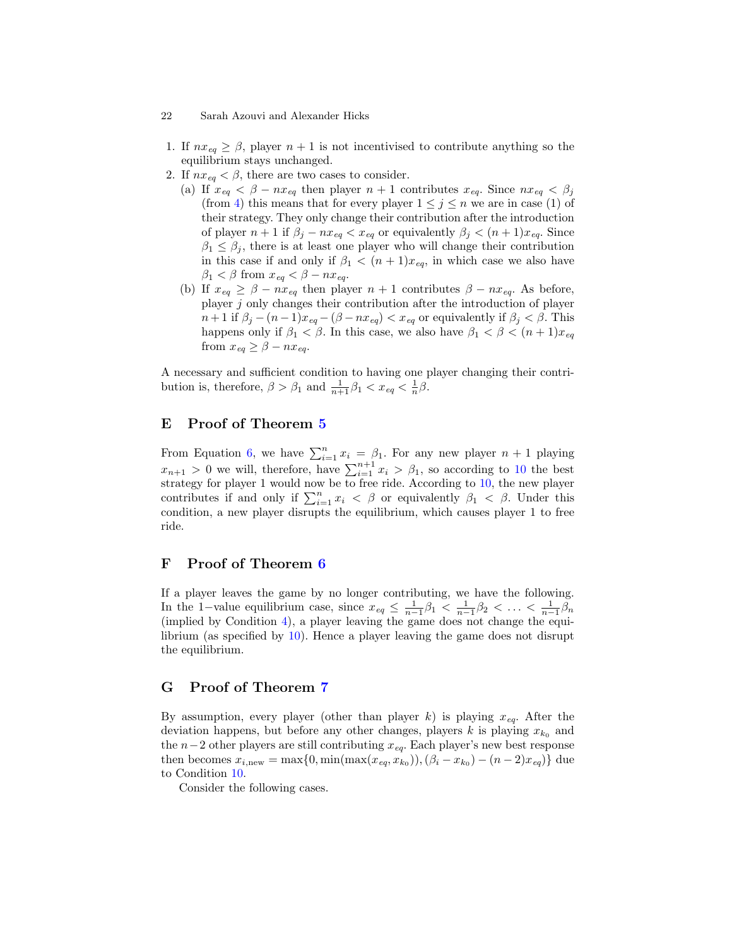- 22 Sarah Azouvi and Alexander Hicks
- 1. If  $nx_{eq} \geq \beta$ , player  $n+1$  is not incentivised to contribute anything so the equilibrium stays unchanged.
- 2. If  $nx_{eq} < \beta$ , there are two cases to consider.
	- (a) If  $x_{eq} < \beta nx_{eq}$  then player  $n+1$  contributes  $x_{eq}$ . Since  $nx_{eq} < \beta_j$ (from [4\)](#page-4-0) this means that for every player  $1 \leq j \leq n$  we are in case (1) of their strategy. They only change their contribution after the introduction of player  $n+1$  if  $\beta_j - nx_{eq} < x_{eq}$  or equivalently  $\beta_j < (n+1)x_{eq}$ . Since  $\beta_1 \leq \beta_i$ , there is at least one player who will change their contribution in this case if and only if  $\beta_1 < (n+1)x_{eq}$ , in which case we also have  $\beta_1 < \beta$  from  $x_{eq} < \beta - nx_{eq}$ .
	- (b) If  $x_{eq} \geq \beta nx_{eq}$  then player  $n+1$  contributes  $\beta nx_{eq}$ . As before, player j only changes their contribution after the introduction of player  $n+1$  if  $\beta_j - (n-1)x_{eq} - (\beta - nx_{eq}) < x_{eq}$  or equivalently if  $\beta_j < \beta$ . This happens only if  $\beta_1 < \beta$ . In this case, we also have  $\beta_1 < \beta < (n+1)x_{eq}$ from  $x_{eq} \geq \beta - nx_{eq}$ .

A necessary and sufficient condition to having one player changing their contribution is, therefore,  $\beta > \beta_1$  and  $\frac{1}{n+1}\beta_1 < x_{eq} < \frac{1}{n}\beta$ .

# <span id="page-21-0"></span>E Proof of Theorem [5](#page-7-1)

From Equation [6,](#page-4-2) we have  $\sum_{i=1}^{n} x_i = \beta_1$ . For any new player  $n + 1$  playing  $x_{n+1} > 0$  we will, therefore, have  $\sum_{i=1}^{n+1} x_i > \beta_1$ , so according to [10](#page-6-1) the best strategy for player 1 would now be to free ride. According to [10,](#page-6-1) the new player contributes if and only if  $\sum_{i=1}^n x_i < \beta$  or equivalently  $\beta_1 < \beta$ . Under this condition, a new player disrupts the equilibrium, which causes player 1 to free ride.

## <span id="page-21-1"></span>F Proof of Theorem [6](#page-7-2)

If a player leaves the game by no longer contributing, we have the following. In the 1-value equilibrium case, since  $x_{eq} \leq \frac{1}{n-1}\beta_1 < \frac{1}{n-1}\beta_2 < \ldots < \frac{1}{n-1}\beta_n$ (implied by Condition [4\)](#page-4-0), a player leaving the game does not change the equilibrium (as specified by [10\)](#page-6-1). Hence a player leaving the game does not disrupt the equilibrium.

# <span id="page-21-2"></span>G Proof of Theorem [7](#page-7-0)

By assumption, every player (other than player k) is playing  $x_{eq}$ . After the deviation happens, but before any other changes, players k is playing  $x_{k_0}$  and the  $n-2$  other players are still contributing  $x_{eq}$ . Each player's new best response then becomes  $x_{i, new} = \max\{0, \min(\max(x_{eq}, x_{k_0})), (\beta_i - x_{k_0}) - (n - 2)x_{eq}\}\$  due to Condition [10.](#page-6-1)

Consider the following cases.